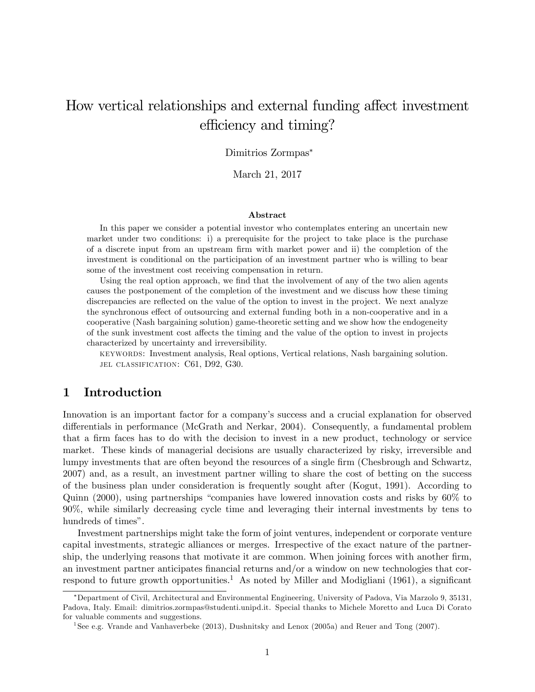# How vertical relationships and external funding affect investment efficiency and timing?

### Dimitrios Zormpas

March 21, 2017

#### Abstract

In this paper we consider a potential investor who contemplates entering an uncertain new market under two conditions: i) a prerequisite for the project to take place is the purchase of a discrete input from an upstream Örm with market power and ii) the completion of the investment is conditional on the participation of an investment partner who is willing to bear some of the investment cost receiving compensation in return.

Using the real option approach, we find that the involvement of any of the two alien agents causes the postponement of the completion of the investment and we discuss how these timing discrepancies are reflected on the value of the option to invest in the project. We next analyze the synchronous effect of outsourcing and external funding both in a non-cooperative and in a cooperative (Nash bargaining solution) game-theoretic setting and we show how the endogeneity of the sunk investment cost a§ects the timing and the value of the option to invest in projects characterized by uncertainty and irreversibility.

keywords: Investment analysis, Real options, Vertical relations, Nash bargaining solution. JEL CLASSIFICATION: C61, D92, G30.

### 1 Introduction

Innovation is an important factor for a company's success and a crucial explanation for observed differentials in performance (McGrath and Nerkar, 2004). Consequently, a fundamental problem that a firm faces has to do with the decision to invest in a new product, technology or service market. These kinds of managerial decisions are usually characterized by risky, irreversible and lumpy investments that are often beyond the resources of a single firm (Chesbrough and Schwartz, 2007) and, as a result, an investment partner willing to share the cost of betting on the success of the business plan under consideration is frequently sought after (Kogut, 1991). According to Quinn  $(2000)$ , using partnerships "companies have lowered innovation costs and risks by  $60\%$  to 90%, while similarly decreasing cycle time and leveraging their internal investments by tens to hundreds of times".

Investment partnerships might take the form of joint ventures, independent or corporate venture capital investments, strategic alliances or merges. Irrespective of the exact nature of the partnership, the underlying reasons that motivate it are common. When joining forces with another firm, an investment partner anticipates financial returns and/or a window on new technologies that correspond to future growth opportunities.<sup>1</sup> As noted by Miller and Modigliani (1961), a significant

Department of Civil, Architectural and Environmental Engineering, University of Padova, Via Marzolo 9, 35131, Padova, Italy. Email: dimitrios.zormpas@studenti.unipd.it. Special thanks to Michele Moretto and Luca Di Corato for valuable comments and suggestions.

<sup>&</sup>lt;sup>1</sup>See e.g. Vrande and Vanhaverbeke (2013), Dushnitsky and Lenox (2005a) and Reuer and Tong (2007).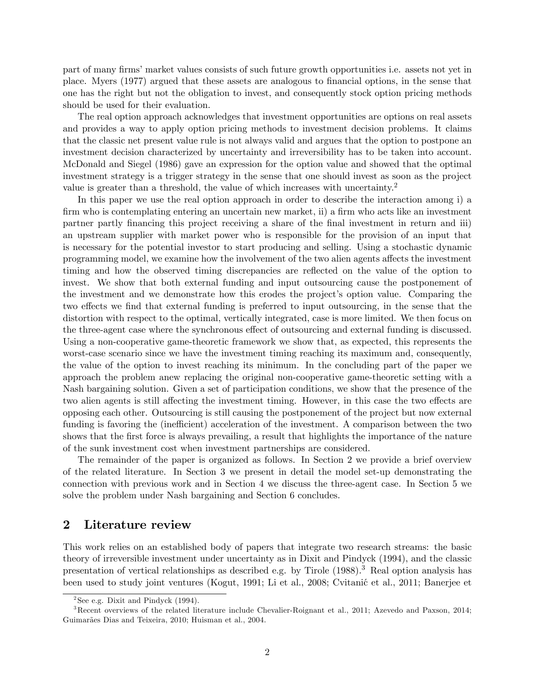part of many firms' market values consists of such future growth opportunities i.e. assets not yet in place. Myers (1977) argued that these assets are analogous to Önancial options, in the sense that one has the right but not the obligation to invest, and consequently stock option pricing methods should be used for their evaluation.

The real option approach acknowledges that investment opportunities are options on real assets and provides a way to apply option pricing methods to investment decision problems. It claims that the classic net present value rule is not always valid and argues that the option to postpone an investment decision characterized by uncertainty and irreversibility has to be taken into account. McDonald and Siegel (1986) gave an expression for the option value and showed that the optimal investment strategy is a trigger strategy in the sense that one should invest as soon as the project value is greater than a threshold, the value of which increases with uncertainty.<sup>2</sup>

In this paper we use the real option approach in order to describe the interaction among i) a firm who is contemplating entering an uncertain new market, ii) a firm who acts like an investment partner partly Önancing this project receiving a share of the Önal investment in return and iii) an upstream supplier with market power who is responsible for the provision of an input that is necessary for the potential investor to start producing and selling. Using a stochastic dynamic programming model, we examine how the involvement of the two alien agents affects the investment timing and how the observed timing discrepancies are reflected on the value of the option to invest. We show that both external funding and input outsourcing cause the postponement of the investment and we demonstrate how this erodes the project's option value. Comparing the two effects we find that external funding is preferred to input outsourcing, in the sense that the distortion with respect to the optimal, vertically integrated, case is more limited. We then focus on the three-agent case where the synchronous effect of outsourcing and external funding is discussed. Using a non-cooperative game-theoretic framework we show that, as expected, this represents the worst-case scenario since we have the investment timing reaching its maximum and, consequently, the value of the option to invest reaching its minimum. In the concluding part of the paper we approach the problem anew replacing the original non-cooperative game-theoretic setting with a Nash bargaining solution. Given a set of participation conditions, we show that the presence of the two alien agents is still affecting the investment timing. However, in this case the two effects are opposing each other. Outsourcing is still causing the postponement of the project but now external funding is favoring the (inefficient) acceleration of the investment. A comparison between the two shows that the first force is always prevailing, a result that highlights the importance of the nature of the sunk investment cost when investment partnerships are considered.

The remainder of the paper is organized as follows. In Section 2 we provide a brief overview of the related literature. In Section 3 we present in detail the model set-up demonstrating the connection with previous work and in Section 4 we discuss the three-agent case. In Section 5 we solve the problem under Nash bargaining and Section 6 concludes.

### 2 Literature review

This work relies on an established body of papers that integrate two research streams: the basic theory of irreversible investment under uncertainty as in Dixit and Pindyck (1994), and the classic presentation of vertical relationships as described e.g. by Tirole  $(1988)$ .<sup>3</sup> Real option analysis has been used to study joint ventures (Kogut, 1991; Li et al., 2008; Cvitanić et al., 2011; Banerjee et

 $2$ See e.g. Dixit and Pindyck  $(1994)$ .

<sup>3</sup>Recent overviews of the related literature include Chevalier-Roignant et al., 2011; Azevedo and Paxson, 2014; Guimarães Dias and Teixeira, 2010; Huisman et al., 2004.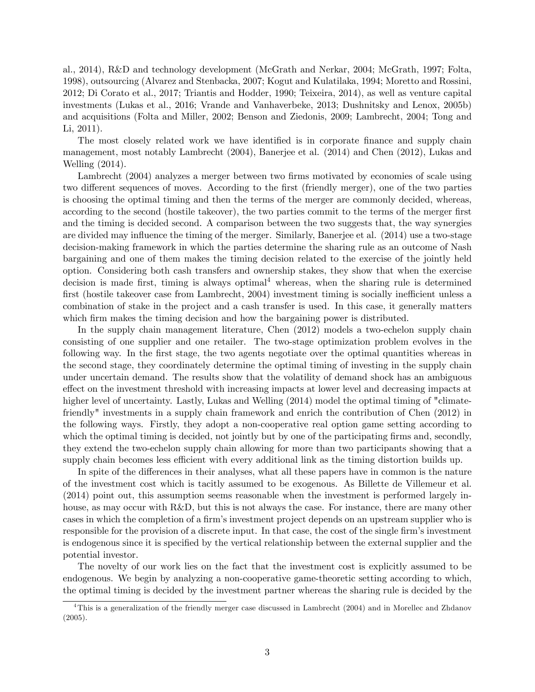al., 2014), R&D and technology development (McGrath and Nerkar, 2004; McGrath, 1997; Folta, 1998), outsourcing (Alvarez and Stenbacka, 2007; Kogut and Kulatilaka, 1994; Moretto and Rossini, 2012; Di Corato et al., 2017; Triantis and Hodder, 1990; Teixeira, 2014), as well as venture capital investments (Lukas et al., 2016; Vrande and Vanhaverbeke, 2013; Dushnitsky and Lenox, 2005b) and acquisitions (Folta and Miller, 2002; Benson and Ziedonis, 2009; Lambrecht, 2004; Tong and Li, 2011).

The most closely related work we have identified is in corporate finance and supply chain management, most notably Lambrecht (2004), Banerjee et al. (2014) and Chen (2012), Lukas and Welling (2014).

Lambrecht (2004) analyzes a merger between two firms motivated by economies of scale using two different sequences of moves. According to the first (friendly merger), one of the two parties is choosing the optimal timing and then the terms of the merger are commonly decided, whereas, according to the second (hostile takeover), the two parties commit to the terms of the merger first and the timing is decided second. A comparison between the two suggests that, the way synergies are divided may influence the timing of the merger. Similarly, Banerjee et al. (2014) use a two-stage decision-making framework in which the parties determine the sharing rule as an outcome of Nash bargaining and one of them makes the timing decision related to the exercise of the jointly held option. Considering both cash transfers and ownership stakes, they show that when the exercise decision is made first, timing is always optimal<sup>4</sup> whereas, when the sharing rule is determined first (hostile takeover case from Lambrecht,  $2004$ ) investment timing is socially inefficient unless a combination of stake in the project and a cash transfer is used. In this case, it generally matters which firm makes the timing decision and how the bargaining power is distributed.

In the supply chain management literature, Chen (2012) models a two-echelon supply chain consisting of one supplier and one retailer. The two-stage optimization problem evolves in the following way. In the first stage, the two agents negotiate over the optimal quantities whereas in the second stage, they coordinately determine the optimal timing of investing in the supply chain under uncertain demand. The results show that the volatility of demand shock has an ambiguous effect on the investment threshold with increasing impacts at lower level and decreasing impacts at higher level of uncertainty. Lastly, Lukas and Welling (2014) model the optimal timing of "climatefriendly" investments in a supply chain framework and enrich the contribution of Chen (2012) in the following ways. Firstly, they adopt a non-cooperative real option game setting according to which the optimal timing is decided, not jointly but by one of the participating firms and, secondly, they extend the two-echelon supply chain allowing for more than two participants showing that a supply chain becomes less efficient with every additional link as the timing distortion builds up.

In spite of the differences in their analyses, what all these papers have in common is the nature of the investment cost which is tacitly assumed to be exogenous. As Billette de Villemeur et al. (2014) point out, this assumption seems reasonable when the investment is performed largely inhouse, as may occur with R&D, but this is not always the case. For instance, there are many other cases in which the completion of a firm's investment project depends on an upstream supplier who is responsible for the provision of a discrete input. In that case, the cost of the single firm's investment is endogenous since it is specified by the vertical relationship between the external supplier and the potential investor.

The novelty of our work lies on the fact that the investment cost is explicitly assumed to be endogenous. We begin by analyzing a non-cooperative game-theoretic setting according to which, the optimal timing is decided by the investment partner whereas the sharing rule is decided by the

<sup>4</sup>This is a generalization of the friendly merger case discussed in Lambrecht (2004) and in Morellec and Zhdanov (2005).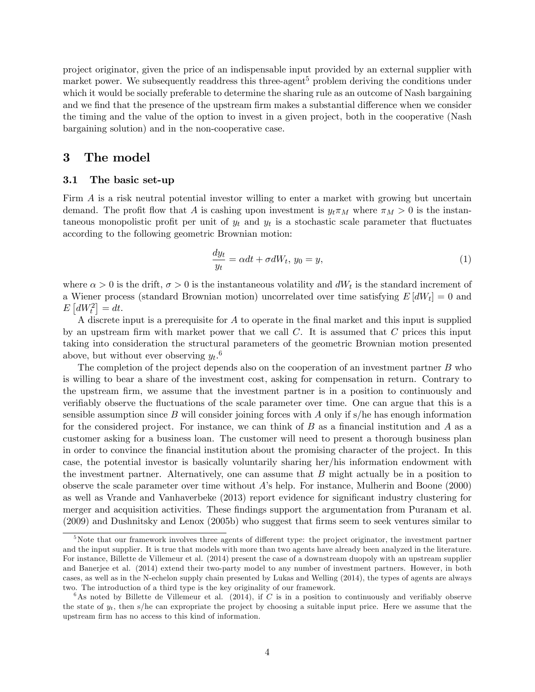project originator, given the price of an indispensable input provided by an external supplier with market power. We subsequently readdress this three-agent<sup>5</sup> problem deriving the conditions under which it would be socially preferable to determine the sharing rule as an outcome of Nash bargaining and we find that the presence of the upstream firm makes a substantial difference when we consider the timing and the value of the option to invest in a given project, both in the cooperative (Nash bargaining solution) and in the non-cooperative case.

### 3 The model

#### 3.1 The basic set-up

Firm A is a risk neutral potential investor willing to enter a market with growing but uncertain demand. The profit flow that A is cashing upon investment is  $y_t \pi_M$  where  $\pi_M > 0$  is the instantaneous monopolistic profit per unit of  $y_t$  and  $y_t$  is a stochastic scale parameter that fluctuates according to the following geometric Brownian motion:

$$
\frac{dy_t}{y_t} = \alpha dt + \sigma dW_t, \ y_0 = y,\tag{1}
$$

where  $\alpha > 0$  is the drift,  $\sigma > 0$  is the instantaneous volatility and  $dW_t$  is the standard increment of a Wiener process (standard Brownian motion) uncorrelated over time satisfying  $E[dW_t] = 0$  and  $E\left[dW_t^2\right] = dt.$ 

A discrete input is a prerequisite for  $A$  to operate in the final market and this input is supplied by an upstream firm with market power that we call  $C$ . It is assumed that  $C$  prices this input taking into consideration the structural parameters of the geometric Brownian motion presented above, but without ever observing  $y_t$ .<sup>6</sup>

The completion of the project depends also on the cooperation of an investment partner  $B$  who is willing to bear a share of the investment cost, asking for compensation in return. Contrary to the upstream firm, we assume that the investment partner is in a position to continuously and verifiably observe the fluctuations of the scale parameter over time. One can argue that this is a sensible assumption since B will consider joining forces with A only if  $s/h$ e has enough information for the considered project. For instance, we can think of  $B$  as a financial institution and  $A$  as a customer asking for a business loan. The customer will need to present a thorough business plan in order to convince the Önancial institution about the promising character of the project. In this case, the potential investor is basically voluntarily sharing her/his information endowment with the investment partner. Alternatively, one can assume that B might actually be in a position to observe the scale parameter over time without Aís help. For instance, Mulherin and Boone (2000) as well as Vrande and Vanhaverbeke (2013) report evidence for significant industry clustering for merger and acquisition activities. These findings support the argumentation from Puranam et al. (2009) and Dushnitsky and Lenox (2005b) who suggest that Örms seem to seek ventures similar to

 $5$ Note that our framework involves three agents of different type: the project originator, the investment partner and the input supplier. It is true that models with more than two agents have already been analyzed in the literature. For instance, Billette de Villemeur et al. (2014) present the case of a downstream duopoly with an upstream supplier and Banerjee et al. (2014) extend their two-party model to any number of investment partners. However, in both cases, as well as in the N-echelon supply chain presented by Lukas and Welling (2014), the types of agents are always two. The introduction of a third type is the key originality of our framework.

<sup>&</sup>lt;sup>6</sup>As noted by Billette de Villemeur et al. (2014), if C is in a position to continuously and verifiably observe the state of  $y_t$ , then s/he can expropriate the project by choosing a suitable input price. Here we assume that the upstream firm has no access to this kind of information.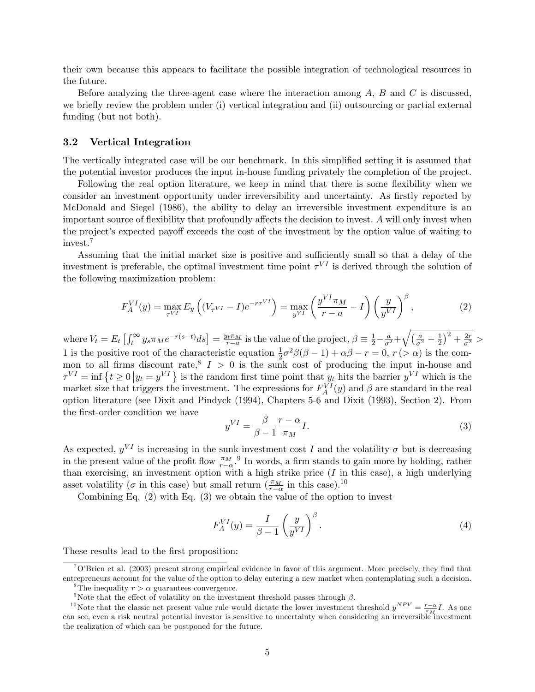their own because this appears to facilitate the possible integration of technological resources in the future.

Before analyzing the three-agent case where the interaction among  $A, B$  and  $C$  is discussed, we briefly review the problem under (i) vertical integration and (ii) outsourcing or partial external funding (but not both).

#### 3.2 Vertical Integration

The vertically integrated case will be our benchmark. In this simplified setting it is assumed that the potential investor produces the input in-house funding privately the completion of the project.

Following the real option literature, we keep in mind that there is some flexibility when we consider an investment opportunity under irreversibility and uncertainty. As firstly reported by McDonald and Siegel (1986), the ability to delay an irreversible investment expenditure is an important source of flexibility that profoundly affects the decision to invest. A will only invest when the project's expected payoff exceeds the cost of the investment by the option value of waiting to invest.<sup>7</sup>

Assuming that the initial market size is positive and sufficiently small so that a delay of the investment is preferable, the optimal investment time point  $\tau^{VI}$  is derived through the solution of the following maximization problem:

$$
F_A^{VI}(y) = \max_{\tau^{VI}} E_y \left( (V_{\tau^{VI}} - I) e^{-r\tau^{VI}} \right) = \max_{y^{VI}} \left( \frac{y^{VI} \pi_M}{r - a} - I \right) \left( \frac{y}{y^{VI}} \right)^{\beta},\tag{2}
$$

where  $V_t = E_t \left[ \int_t^{\infty} y_s \pi_M e^{-r(s-t)} ds \right] = \frac{y_t \pi_M}{r-a}$  $\frac{d^{\pi}M}{d^{\pi}-a}$  is the value of the project,  $\beta \equiv \frac{1}{2} - \frac{a}{\sigma^2} + \sqrt{\left(\frac{a}{\sigma^2} - \frac{1}{2}\right)}$  $(\frac{1}{2})^2 + \frac{2r}{\sigma^2} >$ 1 is the positive root of the characteristic equation  $\frac{1}{2}\sigma^2\beta(\beta-1)+\alpha\beta-r=0$ ,  $r(>\alpha)$  is the common to all firms discount rate,  $I > 0$  is the sunk cost of producing the input in-house and  $\tau^{VI} = \inf \{ t \ge 0 \, | y_t = y^{VI} \}$  is the random first time point that  $y_t$  hits the barrier  $y^{VI}$  which is the market size that triggers the investment. The expressions for  $F_A^{VI}(y)$  and  $\beta$  are standard in the real option literature (see Dixit and Pindyck (1994), Chapters 5-6 and Dixit (1993), Section 2). From the first-order condition we have

$$
y^{VI} = \frac{\beta}{\beta - 1} \frac{r - \alpha}{\pi_M} I.
$$
\n(3)

As expected,  $y^{VI}$  is increasing in the sunk investment cost I and the volatility  $\sigma$  but is decreasing in the present value of the profit flow  $\frac{\pi_M}{r}$ , <sup>9</sup> In words, a firm stands to gain more by holding, rather In the present value of the profit how  $r_{-\alpha}$ . In words, a fifth stands to gain more by holding, rather than exercising, an investment option with a high strike price (I in this case), a high underlying asset volatility ( $\sigma$  in this case) but small return  $(\frac{\pi_M}{r-\alpha})$  in this case).<sup>10</sup>

Combining Eq. (2) with Eq. (3) we obtain the value of the option to invest

$$
F_A^{VI}(y) = \frac{I}{\beta - 1} \left(\frac{y}{y^{VI}}\right)^{\beta}.
$$
\n(4)

These results lead to the first proposition:

 $70$ <sup>T</sup> $O$ Brien et al. (2003) present strong empirical evidence in favor of this argument. More precisely, they find that entrepreneurs account for the value of the option to delay entering a new market when contemplating such a decision.

<sup>&</sup>lt;sup>8</sup>The inequality  $r > \alpha$  guarantees convergence.

<sup>&</sup>lt;sup>9</sup>Note that the effect of volatility on the investment threshold passes through  $\beta$ .

<sup>&</sup>lt;sup>10</sup>Note that the classic net present value rule would dictate the lower investment threshold  $y^{NPV} = \frac{r-\alpha}{\pi x} I$ . As one can see, even a risk neutral potential investor is sensitive to uncertainty when considering an irreversible investment can see, even a risk neutral potential investor is sensitive to uncertainty when considering an irrev the realization of which can be postponed for the future.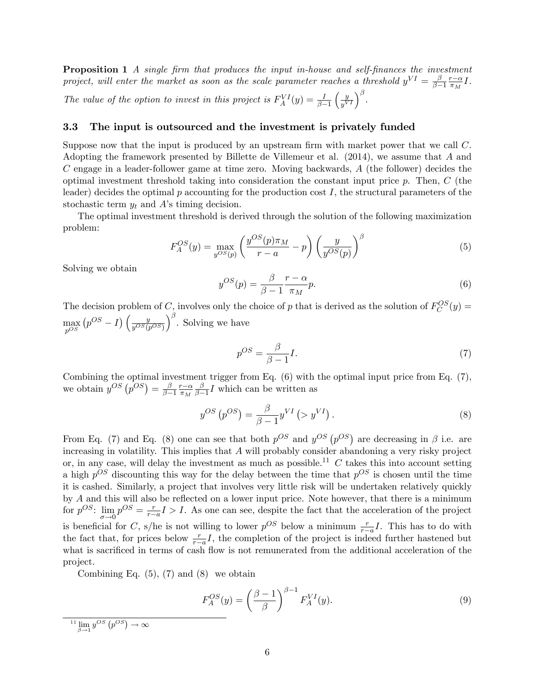**Proposition 1** A single firm that produces the input in-house and self-finances the investment project, will enter the market as soon as the scale parameter reaches a threshold  $y^{VI} = \frac{\beta}{\beta - 1}$  $_{\beta-1}$  $rac{r-\alpha}{\pi_M}I$ . The value of the option to invest in this project is  $F_A^{VI}(y) = \frac{I}{\beta - 1}$  $\int y$  $\frac{y}{y^{VI}}\Big)^\beta$  .

#### 3.3 The input is outsourced and the investment is privately funded

Suppose now that the input is produced by an upstream firm with market power that we call  $C$ . Adopting the framework presented by Billette de Villemeur et al. (2014), we assume that A and  $C$  engage in a leader-follower game at time zero. Moving backwards,  $A$  (the follower) decides the optimal investment threshold taking into consideration the constant input price  $p$ . Then,  $C$  (the leader) decides the optimal  $p$  accounting for the production cost  $I$ , the structural parameters of the stochastic term  $y_t$  and A's timing decision.

The optimal investment threshold is derived through the solution of the following maximization problem:

$$
F_A^{OS}(y) = \max_{y^{OS}(p)} \left( \frac{y^{OS}(p)\pi_M}{r-a} - p \right) \left( \frac{y}{y^{OS}(p)} \right)^{\beta} \tag{5}
$$

Solving we obtain

$$
y^{OS}(p) = \frac{\beta}{\beta - 1} \frac{r - \alpha}{\pi_M} p.
$$
\n(6)

The decision problem of C, involves only the choice of p that is derived as the solution of  $F_C^{OS}(y)$  =  $\max_{pOS}$  $\left(p^{OS}-I\right)\left(\frac{y}{y^{OS}(p)}\right)$  $y^{OS}(p^{OS})$  $\int_{0}^{\beta}$ . Solving we have

$$
p^{OS} = \frac{\beta}{\beta - 1} I. \tag{7}
$$

Combining the optimal investment trigger from Eq. (6) with the optimal input price from Eq. (7), we obtain  $y^{OS}(p^{OS}) = \frac{\beta}{\beta - \beta}$  $\overline{\beta-1}$  $rac{r-\alpha}{\pi_M}$ β  $\frac{\beta}{\beta-1}I$  which can be written as

$$
y^{OS}\left(p^{OS}\right) = \frac{\beta}{\beta - 1} y^{VI} \left( > y^{VI} \right). \tag{8}
$$

From Eq. (7) and Eq. (8) one can see that both  $p^{OS}$  and  $y^{OS}(p^{OS})$  are decreasing in  $\beta$  i.e. are increasing in volatility. This implies that  $A$  will probably consider abandoning a very risky project or, in any case, will delay the investment as much as possible.<sup>11</sup>  $C$  takes this into account setting a high  $p^{OS}$  discounting this way for the delay between the time that  $p^{OS}$  is chosen until the time it is cashed. Similarly, a project that involves very little risk will be undertaken relatively quickly by  $A$  and this will also be reflected on a lower input price. Note however, that there is a minimum for  $p^{OS}$ :  $\lim_{x \to \infty} p^{OS} = \frac{r}{r-1}$  $\sigma \rightarrow 0$  $\frac{r}{r-a}I > I$ . As one can see, despite the fact that the acceleration of the project is beneficial for C, s/he is not willing to lower  $p^{OS}$  below a minimum  $\frac{r}{r-a}I$ . This has to do with the fact that, for prices below  $\frac{r}{r-a}I$ , the completion of the project is indeed further hastened but what is sacrificed in terms of cash flow is not remunerated from the additional acceleration of the project.

Combining Eq.  $(5)$ ,  $(7)$  and  $(8)$  we obtain

$$
F_A^{OS}(y) = \left(\frac{\beta - 1}{\beta}\right)^{\beta - 1} F_A^{VI}(y). \tag{9}
$$

<sup>&</sup>lt;sup>11</sup>  $\lim_{\beta \to 1} y^{OS}(p^{OS}) \to \infty$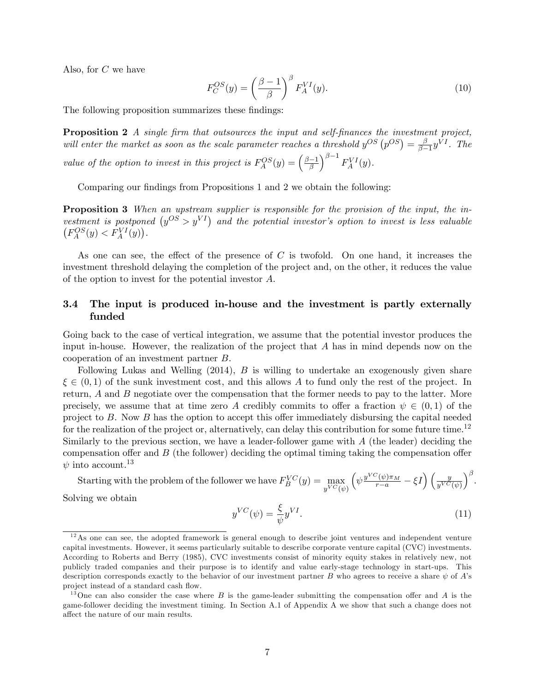Also, for C we have

$$
F_C^{OS}(y) = \left(\frac{\beta - 1}{\beta}\right)^{\beta} F_A^{VI}(y). \tag{10}
$$

The following proposition summarizes these findings:

**Proposition 2** A single firm that outsources the input and self-finances the investment project, will enter the market as soon as the scale parameter reaches a threshold  $y^{OS}(p^{OS}) = \frac{\beta}{\beta-1}$  $\frac{\beta}{\beta-1}y^{VI}$ . The value of the option to invest in this project is  $F_A^{OS}(y) = \left(\frac{\beta - 1}{\beta}\right)$  $\int^{\beta-1} F^{VI}_A(y).$ 

Comparing our findings from Propositions 1 and 2 we obtain the following:

**Proposition 3** When an upstream supplier is responsible for the provision of the input, the investment is postponed  $(y^{OS} > y^{VI})$  and the potential investor's option to invest is less valuable  $\left(F_A^{OS}(y) < F_A^{VI}(y)\right).$ 

As one can see, the effect of the presence of  $C$  is twofold. On one hand, it increases the investment threshold delaying the completion of the project and, on the other, it reduces the value of the option to invest for the potential investor A.

### 3.4 The input is produced in-house and the investment is partly externally funded

Going back to the case of vertical integration, we assume that the potential investor produces the input in-house. However, the realization of the project that A has in mind depends now on the cooperation of an investment partner B.

Following Lukas and Welling (2014), B is willing to undertake an exogenously given share  $\xi \in (0,1)$  of the sunk investment cost, and this allows A to fund only the rest of the project. In return, A and B negotiate over the compensation that the former needs to pay to the latter. More precisely, we assume that at time zero A credibly commits to offer a fraction  $\psi \in (0,1)$  of the project to  $B$ . Now  $B$  has the option to accept this offer immediately disbursing the capital needed for the realization of the project or, alternatively, can delay this contribution for some future time.<sup>12</sup> Similarly to the previous section, we have a leader-follower game with A (the leader) deciding the compensation offer and  $B$  (the follower) deciding the optimal timing taking the compensation offer  $\psi$  into account.<sup>13</sup>

Starting with the problem of the follower we have  $F_B^{VC}(y) = \max\limits_{y^{VC}(\psi)}$  $\left(\psi\frac{y^{VC}(\psi)\pi_M}{r-a}-\xi I\right)\left(\frac{y}{y^{VC}(\psi)}\right.$  $\big)^{\beta}$ . Solving we obtain

> $y^{VC}(\psi) = \frac{\xi}{\psi} y^{VI}$  $(11)$

 $12$ As one can see, the adopted framework is general enough to describe joint ventures and independent venture capital investments. However, it seems particularly suitable to describe corporate venture capital (CVC) investments. According to Roberts and Berry (1985), CVC investments consist of minority equity stakes in relatively new, not publicly traded companies and their purpose is to identify and value early-stage technology in start-ups. This description corresponds exactly to the behavior of our investment partner B who agrees to receive a share  $\psi$  of A's project instead of a standard cash flow.

<sup>&</sup>lt;sup>13</sup>One can also consider the case where B is the game-leader submitting the compensation offer and A is the game-follower deciding the investment timing. In Section A.1 of Appendix A we show that such a change does not affect the nature of our main results.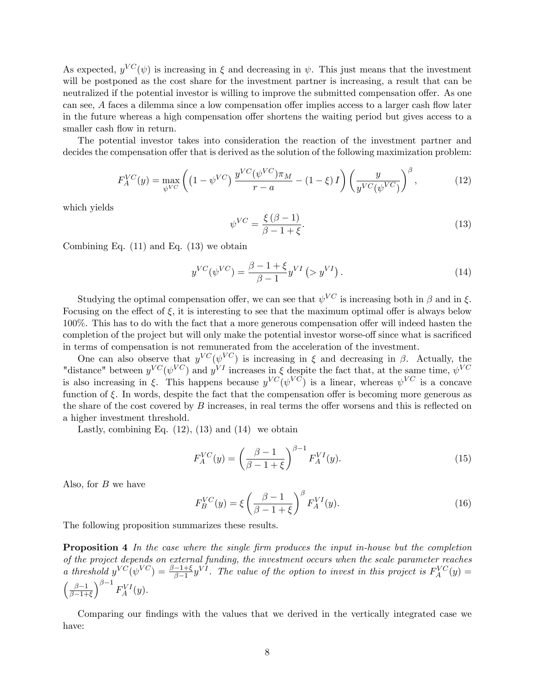As expected,  $y^{VC}(\psi)$  is increasing in  $\xi$  and decreasing in  $\psi$ . This just means that the investment will be postponed as the cost share for the investment partner is increasing, a result that can be neutralized if the potential investor is willing to improve the submitted compensation offer. As one can see,  $A$  faces a dilemma since a low compensation offer implies access to a larger cash flow later in the future whereas a high compensation offer shortens the waiting period but gives access to a smaller cash flow in return.

The potential investor takes into consideration the reaction of the investment partner and decides the compensation offer that is derived as the solution of the following maximization problem:

$$
F_A^{VC}(y) = \max_{\psi^{VC}} \left( \left( 1 - \psi^{VC} \right) \frac{y^{VC} (\psi^{VC}) \pi_M}{r - a} - (1 - \xi) I \right) \left( \frac{y}{y^{VC} (\psi^{VC})} \right)^{\beta}, \tag{12}
$$

which yields

$$
\psi^{VC} = \frac{\xi(\beta - 1)}{\beta - 1 + \xi}.\tag{13}
$$

Combining Eq.  $(11)$  and Eq.  $(13)$  we obtain

$$
y^{VC}(\psi^{VC}) = \frac{\beta - 1 + \xi}{\beta - 1} y^{VI} \left( > y^{VI} \right). \tag{14}
$$

Studying the optimal compensation offer, we can see that  $\psi^{VC}$  is increasing both in  $\beta$  and in  $\xi$ . Focusing on the effect of  $\xi$ , it is interesting to see that the maximum optimal offer is always below  $100\%$ . This has to do with the fact that a more generous compensation offer will indeed hasten the completion of the project but will only make the potential investor worse-off since what is sacrificed in terms of compensation is not remunerated from the acceleration of the investment.

One can also observe that  $y^{VC}(\psi^{VC})$  is increasing in  $\xi$  and decreasing in  $\beta$ . Actually, the "distance" between  $y^{VC}(\psi^{VC})$  and  $y^{VI}$  increases in  $\xi$  despite the fact that, at the same time,  $\psi^{VC}$ is also increasing in  $\xi$ . This happens because  $y^{VC}(\psi^{VC})$  is a linear, whereas  $\psi^{VC}$  is a concave function of  $\xi$ . In words, despite the fact that the compensation offer is becoming more generous as the share of the cost covered by  $B$  increases, in real terms the offer worsens and this is reflected on a higher investment threshold.

Lastly, combining Eq.  $(12)$ ,  $(13)$  and  $(14)$  we obtain

$$
F_A^{VC}(y) = \left(\frac{\beta - 1}{\beta - 1 + \xi}\right)^{\beta - 1} F_A^{VI}(y).
$$
 (15)

Also, for  $B$  we have

$$
F_B^{VC}(y) = \xi \left(\frac{\beta - 1}{\beta - 1 + \xi}\right)^{\beta} F_A^{VI}(y). \tag{16}
$$

The following proposition summarizes these results.

**Proposition 4** In the case where the single firm produces the input in-house but the completion of the project depends on external funding, the investment occurs when the scale parameter reaches a threshold  $y^{VC}(\psi^{VC}) = \frac{\beta-1+\xi}{\beta-1}y^{VI}$ . The value of the option to invest in this project is  $F_A^{VC}(y) =$  $\int \frac{\beta - 1}{\beta - 1}$  $\beta-1+\xi$  $\int^{\beta-1} F^{VI}_A(y).$ 

Comparing our findings with the values that we derived in the vertically integrated case we have: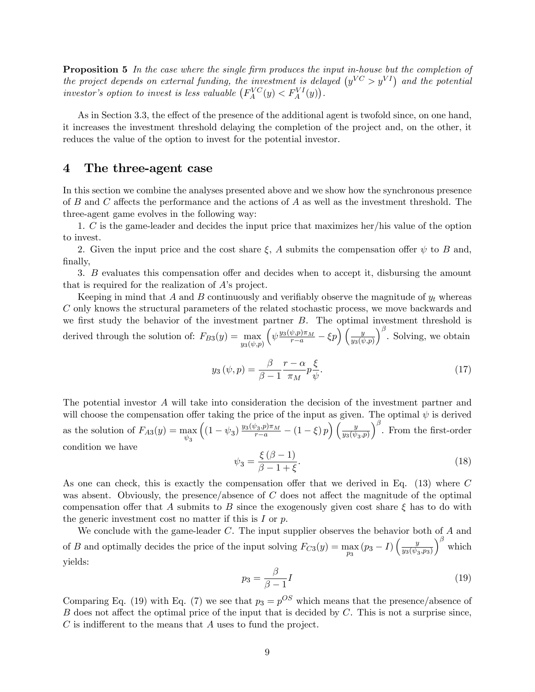**Proposition 5** In the case where the single firm produces the input in-house but the completion of the project depends on external funding, the investment is delayed  $(y^{VC} > y^{VI})$  and the potential investor's option to invest is less valuable  $(F_A^{VC}(y) < F_A^{VI}(y))$ .

As in Section 3.3, the effect of the presence of the additional agent is twofold since, on one hand, it increases the investment threshold delaying the completion of the project and, on the other, it reduces the value of the option to invest for the potential investor.

### 4 The three-agent case

In this section we combine the analyses presented above and we show how the synchronous presence of B and C affects the performance and the actions of A as well as the investment threshold. The three-agent game evolves in the following way:

1. C is the game-leader and decides the input price that maximizes her/his value of the option to invest.

2. Given the input price and the cost share  $\xi$ , A submits the compensation offer  $\psi$  to B and, finally,

3. B evaluates this compensation offer and decides when to accept it, disbursing the amount that is required for the realization of  $A$ 's project.

Keeping in mind that A and B continuously and verifiably observe the magnitude of  $y_t$  whereas C only knows the structural parameters of the related stochastic process, we move backwards and we first study the behavior of the investment partner  $B$ . The optimal investment threshold is derived through the solution of:  $F_{B3}(y) = \max_{y_3(\psi, p)}$  $\left(\psi \frac{y_3(\psi,p)\pi_M}{r-a} - \xi p\right)\left(\frac{y}{y_3(\psi,p)}\right)$  $\int_{0}^{\beta}$ . Solving, we obtain

$$
y_3(\psi, p) = \frac{\beta}{\beta - 1} \frac{r - \alpha}{\pi_M} p \frac{\xi}{\psi}.
$$
 (17)

The potential investor A will take into consideration the decision of the investment partner and will choose the compensation offer taking the price of the input as given. The optimal  $\psi$  is derived as the solution of  $F_{A3}(y) = \max_{\psi_3}$  $\left( (1 - \psi_3) \frac{y_3(\psi_3, p) \pi_M}{r - a} - (1 - \xi) p \right) \left( \frac{y}{y_3(\psi_3)} \right)$  $y_3(\psi_3, p)$  $\int_{0}^{\beta}$ . From the first-order condition we have

$$
\psi_3 = \frac{\xi(\beta - 1)}{\beta - 1 + \xi}.\tag{18}
$$

As one can check, this is exactly the compensation offer that we derived in Eq.  $(13)$  where C was absent. Obviously, the presence/absence of  $C$  does not affect the magnitude of the optimal compensation offer that A submits to B since the exogenously given cost share  $\xi$  has to do with the generic investment cost no matter if this is  $I$  or  $p$ .

We conclude with the game-leader  $C$ . The input supplier observes the behavior both of  $A$  and of B and optimally decides the price of the input solving  $F_{C3}(y) = \max_{p_3} (p_3 - I) \left( \frac{y}{y_3(\psi_S - 1)} \right)$  $y_3(\psi_3, p_3)$  $\int^{\beta}$  which yields:

$$
p_3 = \frac{\beta}{\beta - 1} I \tag{19}
$$

Comparing Eq. (19) with Eq. (7) we see that  $p_3 = p^{OS}$  which means that the presence/absence of B does not affect the optimal price of the input that is decided by  $C$ . This is not a surprise since,  $C$  is indifferent to the means that  $A$  uses to fund the project.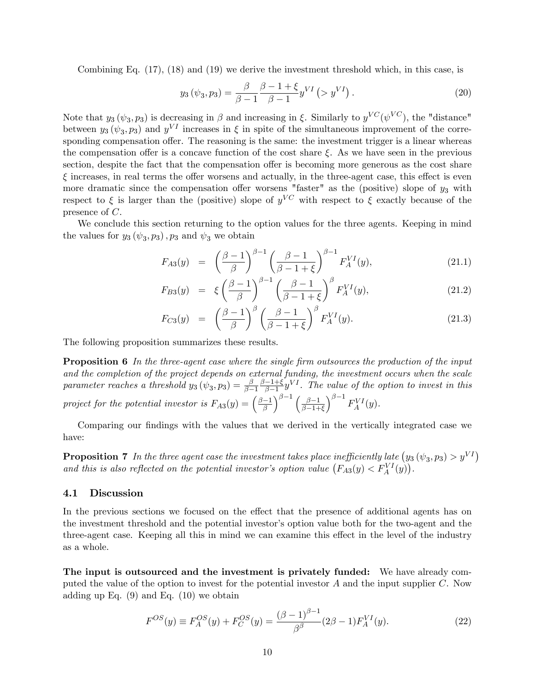Combining Eq. (17), (18) and (19) we derive the investment threshold which, in this case, is

$$
y_3(\psi_3, p_3) = \frac{\beta}{\beta - 1} \frac{\beta - 1 + \xi}{\beta - 1} y^{VI} (> y^{VI}).
$$
 (20)

Note that  $y_3(\psi_3, p_3)$  is decreasing in  $\beta$  and increasing in  $\xi$ . Similarly to  $y^{VC}(\psi^{VC})$ , the "distance" between  $y_3(\psi_3, p_3)$  and  $y^{VI}$  increases in  $\xi$  in spite of the simultaneous improvement of the corresponding compensation offer. The reasoning is the same: the investment trigger is a linear whereas the compensation offer is a concave function of the cost share  $\xi$ . As we have seen in the previous section, despite the fact that the compensation offer is becoming more generous as the cost share  $\xi$  increases, in real terms the offer worsens and actually, in the three-agent case, this effect is even more dramatic since the compensation offer worsens "faster" as the (positive) slope of  $y_3$  with respect to  $\xi$  is larger than the (positive) slope of  $y^{VC}$  with respect to  $\xi$  exactly because of the presence of C.

We conclude this section returning to the option values for the three agents. Keeping in mind the values for  $y_3(\psi_3, p_3)$ ,  $p_3$  and  $\psi_3$  we obtain

$$
F_{A3}(y) = \left(\frac{\beta - 1}{\beta}\right)^{\beta - 1} \left(\frac{\beta - 1}{\beta - 1 + \xi}\right)^{\beta - 1} F_A^{VI}(y), \tag{21.1}
$$

$$
F_{B3}(y) = \xi \left(\frac{\beta - 1}{\beta}\right)^{\beta - 1} \left(\frac{\beta - 1}{\beta - 1 + \xi}\right)^{\beta} F_A^{VI}(y), \tag{21.2}
$$

$$
F_{C3}(y) = \left(\frac{\beta - 1}{\beta}\right)^{\beta} \left(\frac{\beta - 1}{\beta - 1 + \xi}\right)^{\beta} F_A^{VI}(y). \tag{21.3}
$$

The following proposition summarizes these results.

**Proposition 6** In the three-agent case where the single firm outsources the production of the input and the completion of the project depends on external funding, the investment occurs when the scale parameter reaches a threshold  $y_3(\psi_3, p_3) = \frac{\beta}{\beta-1} \frac{\beta-1+\xi}{\beta-1} y^{VI}$ . The value of the option to invest in this  $\overline{\beta-1}$   $\overline{\beta-1}$ project for the potential investor is  $F_{A3}(y) = \left(\frac{\beta - 1}{\beta}\right)$  $\int^{\beta-1} \left( \frac{\beta-1}{\beta-1} \right)$  $\beta-1+\xi$  $\int^{\beta-1} F^{VI}_A(y).$ 

Comparing our findings with the values that we derived in the vertically integrated case we have:

**Proposition 7** In the three agent case the investment takes place inefficiently late  $(y_3 \ (\psi_3, p_3) > y^{VI})$ and this is also reflected on the potential investor's option value  $(F_{A3}(y) < F_A^{VI}(y))$ .

#### 4.1 Discussion

In the previous sections we focused on the effect that the presence of additional agents has on the investment threshold and the potential investor's option value both for the two-agent and the three-agent case. Keeping all this in mind we can examine this effect in the level of the industry as a whole.

The input is outsourced and the investment is privately funded: We have already computed the value of the option to invest for the potential investor  $A$  and the input supplier  $C$ . Now adding up Eq.  $(9)$  and Eq.  $(10)$  we obtain

$$
F^{OS}(y) \equiv F_A^{OS}(y) + F_C^{OS}(y) = \frac{(\beta - 1)^{\beta - 1}}{\beta^{\beta}} (2\beta - 1) F_A^{VI}(y). \tag{22}
$$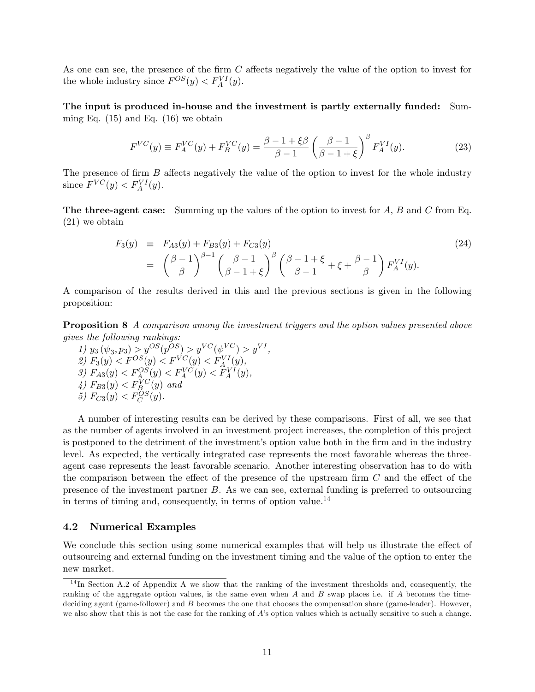As one can see, the presence of the firm  $C$  affects negatively the value of the option to invest for the whole industry since  $F^{OS}(y) < F_A^{VI}(y)$ .

The input is produced in-house and the investment is partly externally funded: Summing Eq.  $(15)$  and Eq.  $(16)$  we obtain

$$
F^{VC}(y) \equiv F_A^{VC}(y) + F_B^{VC}(y) = \frac{\beta - 1 + \xi \beta}{\beta - 1} \left(\frac{\beta - 1}{\beta - 1 + \xi}\right)^{\beta} F_A^{VI}(y).
$$
 (23)

The presence of firm  $B$  affects negatively the value of the option to invest for the whole industry since  $F^{VC}(y) < F_A^{VI}(y)$ .

**The three-agent case:** Summing up the values of the option to invest for  $A$ ,  $B$  and  $C$  from Eq. (21) we obtain

$$
F_3(y) \equiv F_{A3}(y) + F_{B3}(y) + F_{C3}(y) \tag{24}
$$
\n
$$
= \left(\frac{\beta - 1}{\beta}\right)^{\beta - 1} \left(\frac{\beta - 1}{\beta - 1 + \xi}\right)^{\beta} \left(\frac{\beta - 1 + \xi}{\beta - 1} + \xi + \frac{\beta - 1}{\beta}\right) F_A^{VI}(y).
$$

A comparison of the results derived in this and the previous sections is given in the following proposition:

Proposition 8 A comparison among the investment triggers and the option values presented above gives the following rankings:

1)  $y_3(\psi_3, p_3) > y^{OS}(p^{OS}) > y^{VC}(\psi^{VC}) > y^{VI}$ , 2)  $F_3(y) < F^{OS}(y) < F^{VC}(y) < F_A^{VI}(y),$ 3)  $F_{A3}(y) < F_A^{OS}(y) < F_A^{VC}(y) < F_A^{VI}(y)$ ,  $\langle 4 \rangle$   $F_{B3}(y) < F_{B}^{VC}(y)$  and 5)  $F_{C3}(y) < F_C^{OS}(y)$ .

A number of interesting results can be derived by these comparisons. First of all, we see that as the number of agents involved in an investment project increases, the completion of this project is postponed to the detriment of the investment's option value both in the firm and in the industry level. As expected, the vertically integrated case represents the most favorable whereas the threeagent case represents the least favorable scenario. Another interesting observation has to do with the comparison between the effect of the presence of the upstream firm  $C$  and the effect of the presence of the investment partner B. As we can see, external funding is preferred to outsourcing in terms of timing and, consequently, in terms of option value.<sup>14</sup>

#### 4.2 Numerical Examples

We conclude this section using some numerical examples that will help us illustrate the effect of outsourcing and external funding on the investment timing and the value of the option to enter the new market.

<sup>&</sup>lt;sup>14</sup>In Section A.2 of Appendix A we show that the ranking of the investment thresholds and, consequently, the ranking of the aggregate option values, is the same even when A and B swap places i.e. if A becomes the timedeciding agent (game-follower) and  $B$  becomes the one that chooses the compensation share (game-leader). However, we also show that this is not the case for the ranking of  $A$ 's option values which is actually sensitive to such a change.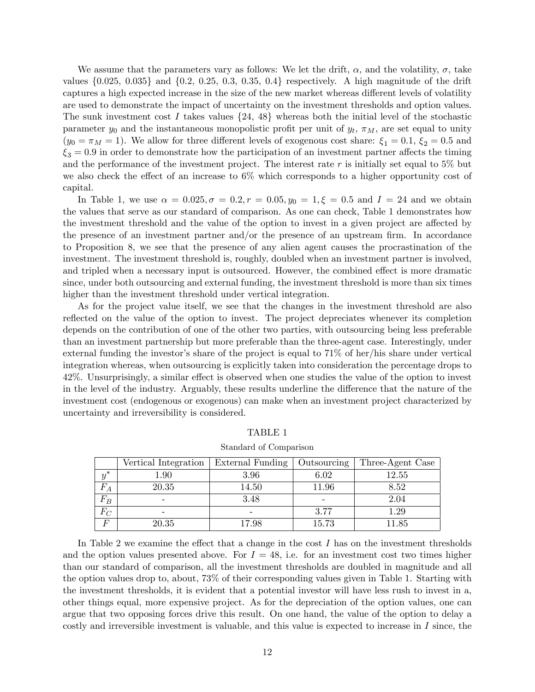We assume that the parameters vary as follows: We let the drift,  $\alpha$ , and the volatility,  $\sigma$ , take values  $\{0.025, 0.035\}$  and  $\{0.2, 0.25, 0.3, 0.35, 0.4\}$  respectively. A high magnitude of the drift captures a high expected increase in the size of the new market whereas different levels of volatility are used to demonstrate the impact of uncertainty on the investment thresholds and option values. The sunk investment cost I takes values  $\{24, 48\}$  whereas both the initial level of the stochastic parameter  $y_0$  and the instantaneous monopolistic profit per unit of  $y_t$ ,  $\pi_M$ , are set equal to unity  $(y_0 = \pi_M = 1)$ . We allow for three different levels of exogenous cost share:  $\xi_1 = 0.1$ ,  $\xi_2 = 0.5$  and  $\xi_3 = 0.9$  in order to demonstrate how the participation of an investment partner affects the timing and the performance of the investment project. The interest rate  $r$  is initially set equal to 5% but we also check the effect of an increase to  $6\%$  which corresponds to a higher opportunity cost of capital.

In Table 1, we use  $\alpha = 0.025, \sigma = 0.2, r = 0.05, y_0 = 1, \xi = 0.5$  and  $I = 24$  and we obtain the values that serve as our standard of comparison. As one can check, Table 1 demonstrates how the investment threshold and the value of the option to invest in a given project are affected by the presence of an investment partner and/or the presence of an upstream firm. In accordance to Proposition 8, we see that the presence of any alien agent causes the procrastination of the investment. The investment threshold is, roughly, doubled when an investment partner is involved, and tripled when a necessary input is outsourced. However, the combined effect is more dramatic since, under both outsourcing and external funding, the investment threshold is more than six times higher than the investment threshold under vertical integration.

As for the project value itself, we see that the changes in the investment threshold are also reflected on the value of the option to invest. The project depreciates whenever its completion depends on the contribution of one of the other two parties, with outsourcing being less preferable than an investment partnership but more preferable than the three-agent case. Interestingly, under external funding the investor's share of the project is equal to  $71\%$  of her/his share under vertical integration whereas, when outsourcing is explicitly taken into consideration the percentage drops to 42%. Unsurprisingly, a similar effect is observed when one studies the value of the option to invest in the level of the industry. Arguably, these results underline the difference that the nature of the investment cost (endogenous or exogenous) can make when an investment project characterized by uncertainty and irreversibility is considered.

|              | Vertical Integration | External Funding | Outsourcing | Three-Agent Case |
|--------------|----------------------|------------------|-------------|------------------|
|              | l.90                 | 3.96             | 6.02        | 12.55            |
|              | 20.35                | 14.50            | $11.96\,$   | 8.52             |
| $F_B$        |                      | 3.48             |             | 2.04             |
| Г.<br>$^{c}$ |                      |                  | 3.77        | $1.29\,$         |
| E            | 20.35                | 17.98            | 15.73       | l 1.85           |

TABLE 1 Standard of Comparison

In Table 2 we examine the effect that a change in the cost  $I$  has on the investment thresholds and the option values presented above. For  $I = 48$ , i.e. for an investment cost two times higher than our standard of comparison, all the investment thresholds are doubled in magnitude and all the option values drop to, about, 73% of their corresponding values given in Table 1. Starting with the investment thresholds, it is evident that a potential investor will have less rush to invest in a, other things equal, more expensive project. As for the depreciation of the option values, one can argue that two opposing forces drive this result. On one hand, the value of the option to delay a costly and irreversible investment is valuable, and this value is expected to increase in I since, the

12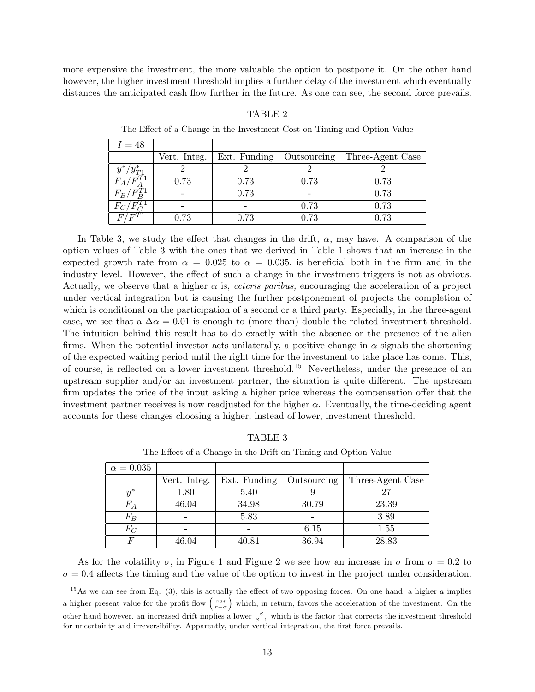more expensive the investment, the more valuable the option to postpone it. On the other hand however, the higher investment threshold implies a further delay of the investment which eventually distances the anticipated cash flow further in the future. As one can see, the second force prevails.

#### TABLE 2

 $I = 48$ Vert. Integ. | Ext. Funding | Outsourcing | Three-Agent Case  $\hat{y}$  $^*/y_{T1}^*$  $2 \qquad \qquad 2 \qquad \qquad 2 \qquad \qquad 2$  $F_A/F$  $\overline{A}$ 0.73 0.73 0.73 0.73  $F_B/F_B^{T1}$ B  $-$  0.73 - 0.73  $F_C/F_C^{T1}$  $\subseteq$ - | - | 0.73 | 0.73  $F/F^{T1}$  0.73 0.73 0.73 0.73 0.73

The Effect of a Change in the Investment Cost on Timing and Option Value

In Table 3, we study the effect that changes in the drift,  $\alpha$ , may have. A comparison of the option values of Table 3 with the ones that we derived in Table 1 shows that an increase in the expected growth rate from  $\alpha = 0.025$  to  $\alpha = 0.035$ , is beneficial both in the firm and in the industry level. However, the effect of such a change in the investment triggers is not as obvious. Actually, we observe that a higher  $\alpha$  is, *ceteris paribus*, encouraging the acceleration of a project under vertical integration but is causing the further postponement of projects the completion of which is conditional on the participation of a second or a third party. Especially, in the three-agent case, we see that a  $\Delta \alpha = 0.01$  is enough to (more than) double the related investment threshold. The intuition behind this result has to do exactly with the absence or the presence of the alien firms. When the potential investor acts unilaterally, a positive change in  $\alpha$  signals the shortening of the expected waiting period until the right time for the investment to take place has come. This, of course, is reflected on a lower investment threshold.<sup>15</sup> Nevertheless, under the presence of an upstream supplier and/or an investment partner, the situation is quite different. The upstream firm updates the price of the input asking a higher price whereas the compensation offer that the investment partner receives is now readjusted for the higher  $\alpha$ . Eventually, the time-deciding agent accounts for these changes choosing a higher, instead of lower, investment threshold.

| TABLE |
|-------|
|-------|

The Effect of a Change in the Drift on Timing and Option Value

| $\alpha = 0.035$ |              |              |             |                  |
|------------------|--------------|--------------|-------------|------------------|
|                  | Vert. Integ. | Ext. Funding | Outsourcing | Three-Agent Case |
| $y^*$            | 1.80         | 5.40         |             |                  |
| $F_A$            | 46.04        | 34.98        | 30.79       | 23.39            |
| $F_B$            |              | 5.83         |             | 3.89             |
| $F_C$            |              |              | 6.15        | 1.55             |
|                  | 46.04        | 40.81        | 36.94       | 28.83            |

As for the volatility  $\sigma$ , in Figure 1 and Figure 2 we see how an increase in  $\sigma$  from  $\sigma = 0.2$  to  $\sigma = 0.4$  affects the timing and the value of the option to invest in the project under consideration.

<sup>&</sup>lt;sup>15</sup>As we can see from Eq. (3), this is actually the effect of two opposing forces. On one hand, a higher  $a$  implies a higher present value for the profit flow  $\left(\frac{\pi_M}{r-\alpha}\right)$  which, in return, favors the acceleration of the investment. On the other hand however, an increased drift implies a lower  $\frac{\beta}{\beta-1}$  which is the factor that corrects the investment threshold for uncertainty and irreversibility. Apparently, under vertical integration, the first force prevails.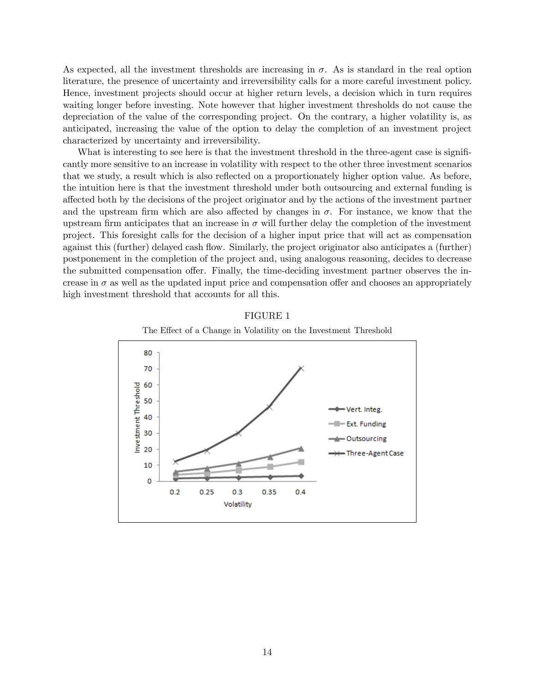As expected, all the investment thresholds are increasing in  $\sigma$ . As is standard in the real option literature, the presence of uncertainty and irreversibility calls for a more careful investment policy. Hence, investment projects should occur at higher return levels, a decision which in turn requires waiting longer before investing. Note however that higher investment thresholds do not cause the depreciation of the value of the corresponding project. On the contrary, a higher volatility is, as anticipated, increasing the value of the option to delay the completion of an investment project characterized by uncertainty and irreversibility.

What is interesting to see here is that the investment threshold in the three-agent case is significantly more sensitive to an increase in volatility with respect to the other three investment scenarios that we study, a result which is also reflected on a proportionately higher option value. As before, the intuition here is that the investment threshold under both outsourcing and external funding is a§ected both by the decisions of the project originator and by the actions of the investment partner and the upstream firm which are also affected by changes in  $\sigma$ . For instance, we know that the upstream firm anticipates that an increase in  $\sigma$  will further delay the completion of the investment project. This foresight calls for the decision of a higher input price that will act as compensation against this (further) delayed cash flow. Similarly, the project originator also anticipates a (further) postponement in the completion of the project and, using analogous reasoning, decides to decrease the submitted compensation offer. Finally, the time-deciding investment partner observes the increase in  $\sigma$  as well as the updated input price and compensation offer and chooses an appropriately high investment threshold that accounts for all this.



FIGURE 1

The Effect of a Change in Volatility on the Investment Threshold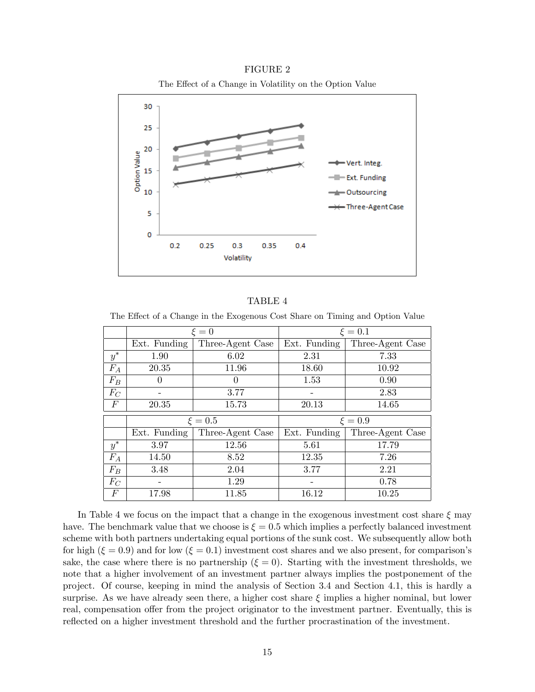#### FIGURE 2

The Effect of a Change in Volatility on the Option Value



#### TABLE 4

The Effect of a Change in the Exogenous Cost Share on Timing and Option Value

|       | $\xi = 0$    |                  | $\xi = 0.1$  |                  |  |
|-------|--------------|------------------|--------------|------------------|--|
|       | Ext. Funding | Three-Agent Case | Ext. Funding | Three-Agent Case |  |
| $y^*$ | 1.90         | 6.02             | 2.31         | 7.33             |  |
| $F_A$ | 20.35        | 11.96            | 18.60        | 10.92            |  |
| $F_B$ |              | $\theta$         | 1.53         | 0.90             |  |
| $F_C$ |              | 3.77             |              | 2.83             |  |
| F     | 20.35        | 15.73            | 20.13        | 14.65            |  |
|       |              |                  |              |                  |  |
|       |              |                  |              |                  |  |
|       |              | $\xi = 0.5$      |              | $\xi = 0.9$      |  |
|       | Ext. Funding | Three-Agent Case | Ext. Funding | Three-Agent Case |  |
| $y^*$ | 3.97         | 12.56            | 5.61         | 17.79            |  |
| $F_A$ | 14.50        | 8.52             | 12.35        | 7.26             |  |
| $F_B$ | 3.48         | 2.04             | 3.77         | 2.21             |  |
| $F_C$ |              | 1.29             |              | 0.78             |  |

In Table 4 we focus on the impact that a change in the exogenous investment cost share  $\xi$  may have. The benchmark value that we choose is  $\xi = 0.5$  which implies a perfectly balanced investment scheme with both partners undertaking equal portions of the sunk cost. We subsequently allow both for high ( $\xi = 0.9$ ) and for low ( $\xi = 0.1$ ) investment cost shares and we also present, for comparison's sake, the case where there is no partnership  $(\xi = 0)$ . Starting with the investment thresholds, we note that a higher involvement of an investment partner always implies the postponement of the project. Of course, keeping in mind the analysis of Section 3.4 and Section 4.1, this is hardly a surprise. As we have already seen there, a higher cost share  $\xi$  implies a higher nominal, but lower real, compensation offer from the project originator to the investment partner. Eventually, this is reflected on a higher investment threshold and the further procrastination of the investment.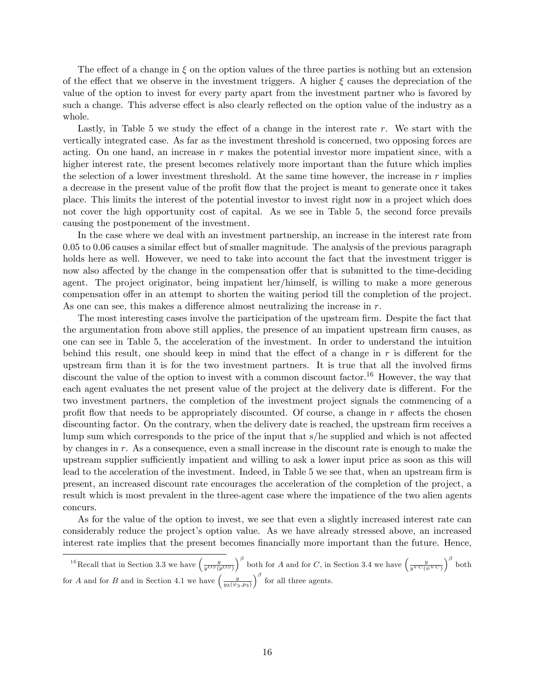The effect of a change in  $\xi$  on the option values of the three parties is nothing but an extension of the effect that we observe in the investment triggers. A higher  $\xi$  causes the depreciation of the value of the option to invest for every party apart from the investment partner who is favored by such a change. This adverse effect is also clearly reflected on the option value of the industry as a whole.

Lastly, in Table 5 we study the effect of a change in the interest rate  $r$ . We start with the vertically integrated case. As far as the investment threshold is concerned, two opposing forces are acting. On one hand, an increase in  $r$  makes the potential investor more impatient since, with a higher interest rate, the present becomes relatively more important than the future which implies the selection of a lower investment threshold. At the same time however, the increase in  $r$  implies a decrease in the present value of the profit flow that the project is meant to generate once it takes place. This limits the interest of the potential investor to invest right now in a project which does not cover the high opportunity cost of capital. As we see in Table 5, the second force prevails causing the postponement of the investment.

In the case where we deal with an investment partnership, an increase in the interest rate from  $0.05$  to  $0.06$  causes a similar effect but of smaller magnitude. The analysis of the previous paragraph holds here as well. However, we need to take into account the fact that the investment trigger is now also affected by the change in the compensation offer that is submitted to the time-deciding agent. The project originator, being impatient her/himself, is willing to make a more generous compensation offer in an attempt to shorten the waiting period till the completion of the project. As one can see, this makes a difference almost neutralizing the increase in  $r$ .

The most interesting cases involve the participation of the upstream firm. Despite the fact that the argumentation from above still applies, the presence of an impatient upstream firm causes, as one can see in Table 5, the acceleration of the investment. In order to understand the intuition behind this result, one should keep in mind that the effect of a change in  $r$  is different for the upstream firm than it is for the two investment partners. It is true that all the involved firms discount the value of the option to invest with a common discount factor.<sup>16</sup> However, the way that each agent evaluates the net present value of the project at the delivery date is different. For the two investment partners, the completion of the investment project signals the commencing of a profit flow that needs to be appropriately discounted. Of course, a change in  $r$  affects the chosen discounting factor. On the contrary, when the delivery date is reached, the upstream firm receives a lump sum which corresponds to the price of the input that s/he supplied and which is not affected by changes in r. As a consequence, even a small increase in the discount rate is enough to make the upstream supplier sufficiently impatient and willing to ask a lower input price as soon as this will lead to the acceleration of the investment. Indeed, in Table 5 we see that, when an upstream firm is present, an increased discount rate encourages the acceleration of the completion of the project, a result which is most prevalent in the three-agent case where the impatience of the two alien agents concurs.

As for the value of the option to invest, we see that even a slightly increased interest rate can considerably reduce the project's option value. As we have already stressed above, an increased interest rate implies that the present becomes financially more important than the future. Hence,

<sup>&</sup>lt;sup>16</sup>Recall that in Section 3.3 we have  $\left(\frac{y}{y^{OS}(p^{OS})}\right)^{\beta}$  both for A and for C, in Section 3.4 we have  $\left(\frac{y}{y^{VC}(\psi^{VC})}\right)^{\beta}$  both for A and for B and in Section 4.1 we have  $\left(\frac{y}{y_3(\psi_3, p_3)}\right)$  $\int_{0}^{\beta}$  for all three agents.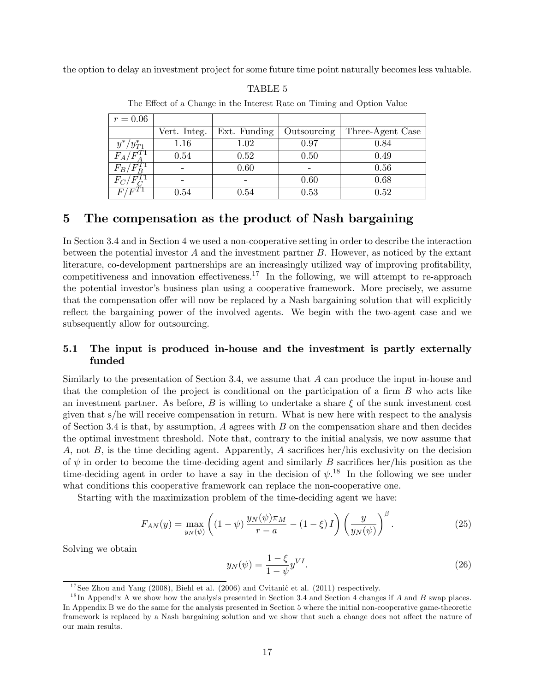the option to delay an investment project for some future time point naturally becomes less valuable.

| $r=0.06$             |              |              |             |                  |
|----------------------|--------------|--------------|-------------|------------------|
|                      | Vert. Integ. | Ext. Funding | Outsourcing | Three-Agent Case |
| $y^*$<br>$/y^*_{T1}$ | 1.16         | 1.02         | 0.97        | 0.84             |
| $F_A/F_A$            | 0.54         | 0.52         | 0.50        | 0.49             |
| $F_B/F_B^T$          |              | 0.60         |             | 0.56             |
| $F_{C}$ ,            |              |              | 0.60        | 0.68             |
|                      | $\rm 0.54$   | $\rm 0.54$   | 0.53        | 0.52             |

TABLE 5

| The Effect of a Change in the Interest Rate on Timing and Option Value |  |  |  |
|------------------------------------------------------------------------|--|--|--|
|------------------------------------------------------------------------|--|--|--|

# 5 The compensation as the product of Nash bargaining

In Section 3.4 and in Section 4 we used a non-cooperative setting in order to describe the interaction between the potential investor  $A$  and the investment partner  $B$ . However, as noticed by the extant literature, co-development partnerships are an increasingly utilized way of improving profitability, competitiveness and innovation effectiveness.<sup>17</sup> In the following, we will attempt to re-approach the potential investor's business plan using a cooperative framework. More precisely, we assume that the compensation offer will now be replaced by a Nash bargaining solution that will explicitly reflect the bargaining power of the involved agents. We begin with the two-agent case and we subsequently allow for outsourcing.

### 5.1 The input is produced in-house and the investment is partly externally funded

Similarly to the presentation of Section 3.4, we assume that A can produce the input in-house and that the completion of the project is conditional on the participation of a firm  $B$  who acts like an investment partner. As before, B is willing to undertake a share  $\xi$  of the sunk investment cost given that s/he will receive compensation in return. What is new here with respect to the analysis of Section 3.4 is that, by assumption,  $A$  agrees with  $B$  on the compensation share and then decides the optimal investment threshold. Note that, contrary to the initial analysis, we now assume that A, not  $B$ , is the time deciding agent. Apparently, A sacrifices her/his exclusivity on the decision of  $\psi$  in order to become the time-deciding agent and similarly B sacrifices her/his position as the time-deciding agent in order to have a say in the decision of  $\psi$ .<sup>18</sup> In the following we see under what conditions this cooperative framework can replace the non-cooperative one.

Starting with the maximization problem of the time-deciding agent we have:

$$
F_{AN}(y) = \max_{y_N(\psi)} \left( (1 - \psi) \frac{y_N(\psi) \pi_M}{r - a} - (1 - \xi) I \right) \left( \frac{y}{y_N(\psi)} \right)^{\beta}.
$$
 (25)

Solving we obtain

$$
y_N(\psi) = \frac{1 - \xi}{1 - \psi} y^{VI}.
$$
\n
$$
(26)
$$

 $17$ See Zhou and Yang (2008), Biehl et al. (2006) and Cvitanić et al. (2011) respectively.

<sup>&</sup>lt;sup>18</sup>In Appendix A we show how the analysis presented in Section 3.4 and Section 4 changes if A and B swap places. In Appendix B we do the same for the analysis presented in Section 5 where the initial non-cooperative game-theoretic framework is replaced by a Nash bargaining solution and we show that such a change does not affect the nature of our main results.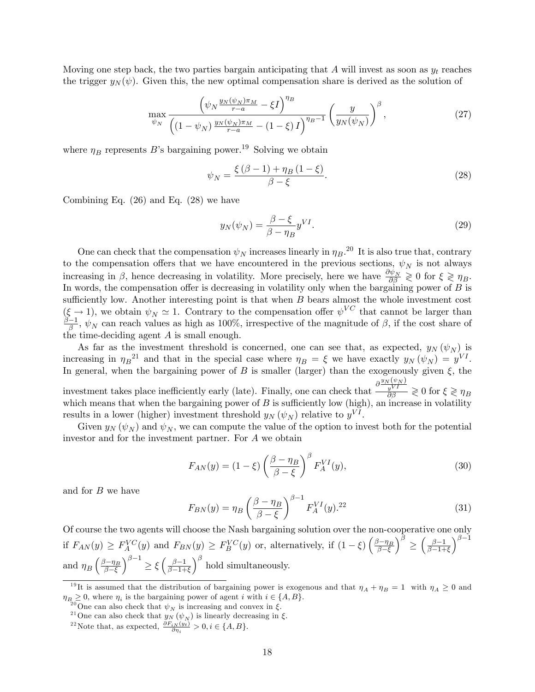Moving one step back, the two parties bargain anticipating that A will invest as soon as  $y_t$  reaches the trigger  $y_N(\psi)$ . Given this, the new optimal compensation share is derived as the solution of

$$
\max_{\psi_N} \frac{\left(\psi_N \frac{y_N(\psi_N)\pi_M}{r-a} - \xi I\right)^{\eta_B}}{\left((1 - \psi_N) \frac{y_N(\psi_N)\pi_M}{r-a} - (1 - \xi) I\right)^{\eta_B - 1}} \left(\frac{y}{y_N(\psi_N)}\right)^{\beta},\tag{27}
$$

where  $\eta_B$  represents B's bargaining power.<sup>19</sup> Solving we obtain

$$
\psi_N = \frac{\xi(\beta - 1) + \eta_B(1 - \xi)}{\beta - \xi}.
$$
\n(28)

Combining Eq. (26) and Eq. (28) we have

$$
y_N(\psi_N) = \frac{\beta - \xi}{\beta - \eta_B} y^{VI}.
$$
\n(29)

One can check that the compensation  $\psi_N$  increases linearly in  $\eta_B$ .<sup>20</sup> It is also true that, contrary to the compensation offers that we have encountered in the previous sections,  $\psi_N$  is not always increasing in  $\beta$ , hence decreasing in volatility. More precisely, here we have  $\frac{\partial \psi_N}{\partial \beta} \geq 0$  for  $\xi \geq \eta_B$ . In words, the compensation offer is decreasing in volatility only when the bargaining power of  $B$  is sufficiently low. Another interesting point is that when  $B$  bears almost the whole investment cost  $(\xi \to 1)$ , we obtain  $\psi_N \simeq 1$ . Contrary to the compensation offer  $\psi^{VC}$  that cannot be larger than  $\frac{\beta-1}{\beta}$ ,  $\psi_N$  can reach values as high as 100%, irrespective of the magnitude of  $\beta$ , if the cost share of the time-deciding agent A is small enough.

As far as the investment threshold is concerned, one can see that, as expected,  $y_N(\psi_N)$  is increasing in  $\eta_B^2$  and that in the special case where  $\eta_B = \xi$  we have exactly  $y_N(\psi_N) = y^{VI}$ . In general, when the bargaining power of B is smaller (larger) than the exogenously given  $\xi$ , the investment takes place inefficiently early (late). Finally, one can check that  $\frac{\partial \frac{y_N(\psi_N)}{y^{VI}}}{\partial \beta} \geq 0$  for  $\xi \geq \eta_B$ which means that when the bargaining power of  $B$  is sufficiently low (high), an increase in volatility results in a lower (higher) investment threshold  $y_N(\psi_N)$  relative to  $y^{VI}$ .

Given  $y_N(\psi_N)$  and  $\psi_N$ , we can compute the value of the option to invest both for the potential investor and for the investment partner. For A we obtain

$$
F_{AN}(y) = (1 - \xi) \left(\frac{\beta - \eta_B}{\beta - \xi}\right)^{\beta} F_A^{VI}(y),\tag{30}
$$

and for B we have

$$
F_{BN}(y) = \eta_B \left(\frac{\beta - \eta_B}{\beta - \xi}\right)^{\beta - 1} F_A^{VI}(y).^{22}
$$
\n
$$
(31)
$$

Of course the two agents will choose the Nash bargaining solution over the non-cooperative one only if  $F_{AN}(y) \ge F_A^{VC}(y)$  and  $F_{BN}(y) \ge F_B^{VC}(y)$  or, alternatively, if  $(1-\xi)\left(\frac{\beta-\eta_B}{\beta-\xi}\right)$  $\beta-\xi$  $\setminus^{\beta}$  $\leq$  $\frac{\beta-1}{\beta}$  $\beta - 1 + \xi$  $\lambda^{\beta-1}$ and  $\eta_B\left(\frac{\beta-\eta_B}{\beta-\xi}\right)$  $\beta-\xi$  $\int^{\beta-1} \geq \xi \left( \frac{\beta-1}{\beta-1+\alpha} \right)$  $\overline{\beta-1}+\xi$  $\int^{\beta}$  hold simultaneously.

<sup>&</sup>lt;sup>19</sup>It is assumed that the distribution of bargaining power is exogenous and that  $\eta_A + \eta_B = 1$  with  $\eta_A \geq 0$  and  $\eta_{B_{00}} \geq 0$ , where  $\eta_i$  is the bargaining power of agent i with  $i \in \{A, B\}.$ 

<sup>&</sup>lt;sup>20</sup>One can also check that  $\psi_N$  is increasing and convex in  $\xi$ .

<sup>&</sup>lt;sup>21</sup>One can also check that  $y_N(\psi_N)$  is linearly decreasing in  $\xi$ .

<sup>&</sup>lt;sup>22</sup>Note that, as expected,  $\frac{\partial F_{iN}(y_t)}{\partial \eta_i} > 0, i \in \{A, B\}.$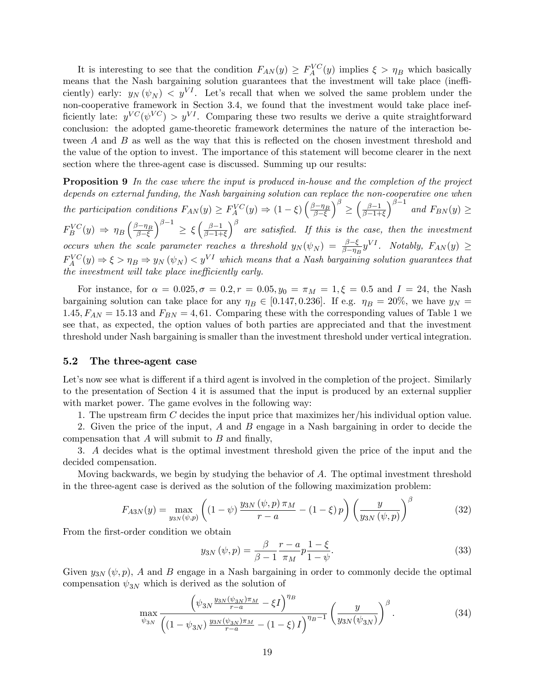It is interesting to see that the condition  $F_{AN}(y) \geq F_A^{VC}(y)$  implies  $\xi > \eta_B$  which basically means that the Nash bargaining solution guarantees that the investment will take place (inefficiently) early:  $y_N(\psi_N) < y^{VI}$ . Let's recall that when we solved the same problem under the non-cooperative framework in Section 3.4, we found that the investment would take place inefficiently late:  $y^{VC}(\psi^{VC}) > y^{VI}$ . Comparing these two results we derive a quite straightforward conclusion: the adopted game-theoretic framework determines the nature of the interaction between  $A$  and  $B$  as well as the way that this is reflected on the chosen investment threshold and the value of the option to invest. The importance of this statement will become clearer in the next section where the three-agent case is discussed. Summing up our results:

**Proposition 9** In the case where the input is produced in-house and the completion of the project depends on external funding, the Nash bargaining solution can replace the non-cooperative one when the participation conditions  $F_{AN}(y) \geq F_A^{VC}(y) \Rightarrow (1-\xi) \left( \frac{\beta - \eta_B}{\beta - \xi} \right)$  $_{\beta-\xi}$  $\setminus^{\beta}$  $\leq$  $\int \frac{\beta-1}{\beta-1}$  $\beta-1+\xi$  $\int^{\beta-1}$  and  $F_{BN}(y) \ge$  $F_B^{VC}(y) \Rightarrow \eta_B \left( \frac{\beta - \eta_B}{\beta - \xi} \right)$  $\beta-\xi$  $\int^{\beta-1} \geq \xi \left( \frac{\beta-1}{\beta-1+\alpha} \right)$  $\beta-1+\xi$  $\int_{0}^{\beta}$  are satisfied. If this is the case, then the investment occurs when the scale parameter reaches a threshold  $y_N(\psi_N) = \frac{\beta - \xi}{\beta - \eta_B} y^{VI}$ . Notably,  $F_{AN}(y) \ge$  $F_A^{VC}(y) \Rightarrow \xi > \eta_B \Rightarrow y_N(\psi_N) < y^{VI}$  which means that a Nash bargaining solution guarantees that the investment will take place inefficiently early.

For instance, for  $\alpha = 0.025, \sigma = 0.2, r = 0.05, y_0 = \pi_M = 1, \xi = 0.5$  and  $I = 24$ , the Nash bargaining solution can take place for any  $\eta_B \in [0.147, 0.236]$ . If e.g.  $\eta_B = 20\%$ , we have  $y_N =$ 1.45,  $F_{AN} = 15.13$  and  $F_{BN} = 4,61$ . Comparing these with the corresponding values of Table 1 we see that, as expected, the option values of both parties are appreciated and that the investment threshold under Nash bargaining is smaller than the investment threshold under vertical integration.

#### 5.2 The three-agent case

Let's now see what is different if a third agent is involved in the completion of the project. Similarly to the presentation of Section 4 it is assumed that the input is produced by an external supplier with market power. The game evolves in the following way:

1. The upstream firm C decides the input price that maximizes her/his individual option value.

2. Given the price of the input, A and B engage in a Nash bargaining in order to decide the compensation that  $A$  will submit to  $B$  and finally,

3. A decides what is the optimal investment threshold given the price of the input and the decided compensation.

Moving backwards, we begin by studying the behavior of A. The optimal investment threshold in the three-agent case is derived as the solution of the following maximization problem:

$$
F_{A3N}(y) = \max_{y_{3N}(\psi, p)} \left( (1 - \psi) \frac{y_{3N}(\psi, p) \pi_M}{r - a} - (1 - \xi) p \right) \left( \frac{y}{y_{3N}(\psi, p)} \right)^{\beta} \tag{32}
$$

From the first-order condition we obtain

$$
y_{3N}(\psi, p) = \frac{\beta}{\beta - 1} \frac{r - a}{\pi_M} p \frac{1 - \xi}{1 - \psi}.
$$
 (33)

Given  $y_{3N}(\psi, p)$ , A and B engage in a Nash bargaining in order to commonly decide the optimal compensation  $\psi_{3N}$  which is derived as the solution of

$$
\max_{\psi_{3N}} \frac{\left(\psi_{3N} \frac{y_{3N}(\psi_{3N})\pi_M}{r-a} - \xi I\right)^{\eta_B}}{\left((1 - \psi_{3N}) \frac{y_{3N}(\psi_{3N})\pi_M}{r-a} - (1 - \xi) I\right)^{\eta_B - 1}} \left(\frac{y}{y_{3N}(\psi_{3N})}\right)^{\beta}.
$$
\n(34)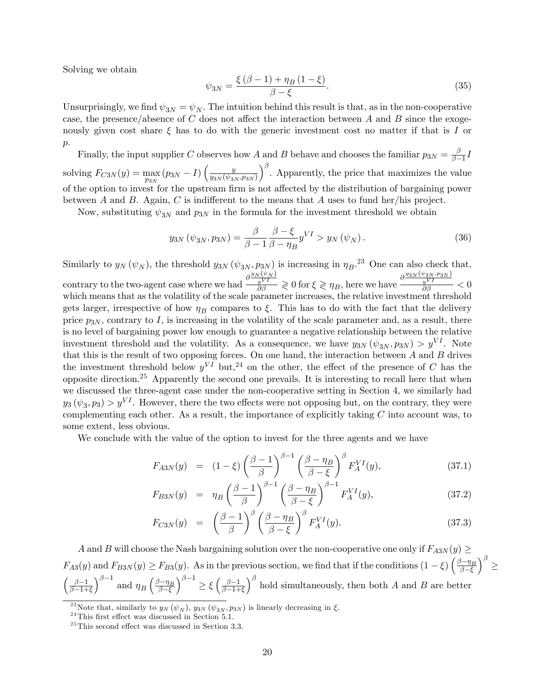Solving we obtain

$$
\psi_{3N} = \frac{\xi(\beta - 1) + \eta_B(1 - \xi)}{\beta - \xi}.
$$
\n(35)

Unsurprisingly, we find  $\psi_{3N} = \psi_N$ . The intuition behind this result is that, as in the non-cooperative case, the presence/absence of C does not affect the interaction between A and B since the exogenously given cost share  $\xi$  has to do with the generic investment cost no matter if that is I or  $p$ .

Finally, the input supplier C observes how A and B behave and chooses the familiar  $p_{3N} = \frac{\beta}{\beta-1}I$  $_{\beta-1}$ solving  $F_{C3N}(y) = \max_{p_{3N}} (p_{3N} - I) \left( \frac{y}{y_{3N}(\psi_{3N})} \right)$  $y_{3N}(\psi_{3N},p_{3N})$  $\int_{0}^{\beta}$ . Apparently, the price that maximizes the value of the option to invest for the upstream firm is not affected by the distribution of bargaining power between A and B. Again, C is indifferent to the means that A uses to fund her/his project.

Now, substituting  $\psi_{3N}$  and  $p_{3N}$  in the formula for the investment threshold we obtain

$$
y_{3N}(\psi_{3N}, p_{3N}) = \frac{\beta}{\beta - 1} \frac{\beta - \xi}{\beta - \eta_B} y^{VI} > y_N(\psi_N).
$$
 (36)

Similarly to  $y_N(\psi_N)$ , the threshold  $y_{3N}(\psi_{3N}, p_{3N})$  is increasing in  $\eta_B$ .<sup>23</sup> One can also check that, contrary to the two-agent case where we had  $\frac{\partial \frac{y_N(\psi_N)}{y^{VI}}}{\partial \beta} \geqslant 0$  for  $\xi \geqslant \eta_B$ , here we have  $\frac{\partial \frac{y_{3N}(\psi_{3N}, p_{3N})}{y^{VI}}}{\partial \beta} < 0$ which means that as the volatility of the scale parameter increases, the relative investment threshold gets larger, irrespective of how  $\eta_B$  compares to  $\xi$ . This has to do with the fact that the delivery price  $p_{3N}$ , contrary to I, is increasing in the volatility of the scale parameter and, as a result, there is no level of bargaining power low enough to guarantee a negative relationship between the relative investment threshold and the volatility. As a consequence, we have  $y_{3N} (\psi_{3N}, p_{3N}) > y^{VI}$ . Note that this is the result of two opposing forces. On one hand, the interaction between  $A$  and  $B$  drives the investment threshold below  $y^{VI}$  but,<sup>24</sup> on the other, the effect of the presence of C has the opposite direction.<sup>25</sup> Apparently the second one prevails. It is interesting to recall here that when we discussed the three-agent case under the non-cooperative setting in Section 4, we similarly had  $y_3(\psi_3, p_3) > y^{VI}$ . However, there the two effects were not opposing but, on the contrary, they were complementing each other. As a result, the importance of explicitly taking  $C$  into account was, to some extent, less obvious.

We conclude with the value of the option to invest for the three agents and we have

$$
F_{A3N}(y) = (1 - \xi) \left(\frac{\beta - 1}{\beta}\right)^{\beta - 1} \left(\frac{\beta - \eta_B}{\beta - \xi}\right)^{\beta} F_A^{VI}(y), \tag{37.1}
$$

$$
F_{B3N}(y) = \eta_B \left(\frac{\beta - 1}{\beta}\right)^{\beta - 1} \left(\frac{\beta - \eta_B}{\beta - \xi}\right)^{\beta - 1} F_A^{VI}(y), \tag{37.2}
$$

$$
F_{C3N}(y) = \left(\frac{\beta - 1}{\beta}\right)^{\beta} \left(\frac{\beta - \eta_B}{\beta - \xi}\right)^{\beta} F_A^{VI}(y). \tag{37.3}
$$

A and B will choose the Nash bargaining solution over the non-cooperative one only if  $F_{A3N}(y) \geq$  $F_{A3}(y)$  and  $F_{B3N}(y) \ge F_{B3}(y)$ . As in the previous section, we find that if the conditions  $(1 - \xi) \left( \frac{\beta - \eta_B}{\beta - \xi} \right)$  $\beta-\xi$  $\setminus^{\beta}$  $\leq$  $\int \frac{\beta - 1}{\beta - 1}$  $\beta-1+\xi$  $\int^{\beta-1}$  and  $\eta_B \left( \frac{\beta - \eta_B}{\beta - \xi} \right)$  $\beta-\xi$  $\int^{\beta-1} \geq \xi \left( \frac{\beta-1}{\beta-1+\alpha} \right)$  $\beta-1+\xi$  $\int_{0}^{\beta}$  hold simultaneously, then both A and B are better

<sup>&</sup>lt;sup>23</sup> Note that, similarly to  $y_N (\psi_N)$ ,  $y_{3N} (\psi_{3N}, p_{3N})$  is linearly decreasing in  $\xi$ .

 $24$ This first effect was discussed in Section 5.1.

 $25$ This second effect was discussed in Section 3.3.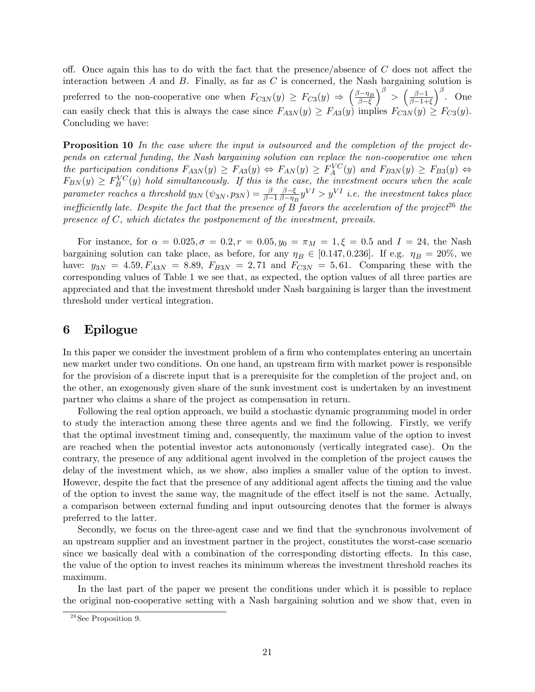off. Once again this has to do with the fact that the presence/absence of  $C$  does not affect the interaction between  $A$  and  $B$ . Finally, as far as  $C$  is concerned, the Nash bargaining solution is preferred to the non-cooperative one when  $F_{C3N}(y) \geq F_{C3}(y) \Rightarrow \left(\frac{\beta - \eta_B}{\beta - \xi}\right)$  $_{\beta-\xi}$  $\int^{\beta} > \left( \frac{\beta - 1}{\beta - 1 + \beta} \right)$  $_{\beta-1+\xi}$  $\Big)^{\beta}$ . One can easily check that this is always the case since  $F_{A3N}(y) \ge F_{A3}(y)$  implies  $F_{C3N}(y) \ge F_{C3}(y)$ . Concluding we have:

**Proposition 10** In the case where the input is outsourced and the completion of the project depends on external funding, the Nash bargaining solution can replace the non-cooperative one when the participation conditions  $F_{A3N}(y) \geq F_{A3}(y) \Leftrightarrow F_{AN}(y) \geq F_A^{VC}(y)$  and  $F_{B3N}(y) \geq F_{B3}(y) \Leftrightarrow$  $F_{BN}(y) \geq F_B^{VC}(y)$  hold simultaneously. If this is the case, the investment occurs when the scale parameter reaches a threshold  $y_{3N}$   $(\psi_{3N}, p_{3N}) = \frac{\beta}{\beta - 1}$  $\frac{\beta-\xi}{\zeta}$  $\frac{\beta-\xi}{\beta-\eta_B}y^{VI} > y^{VI}$  i.e. the investment takes place inefficiently late. Despite the fact that the presence of  $\overline{B}$  favors the acceleration of the project<sup>26</sup> the presence of  $C$ , which dictates the postponement of the investment, prevails.

For instance, for  $\alpha = 0.025, \sigma = 0.2, r = 0.05, y_0 = \pi_M = 1, \xi = 0.5$  and  $I = 24$ , the Nash bargaining solution can take place, as before, for any  $\eta_B \in [0.147, 0.236]$ . If e.g.  $\eta_B = 20\%$ , we have:  $y_{3N} = 4.59, F_{A3N} = 8.89, F_{B3N} = 2,71$  and  $F_{C3N} = 5,61$ . Comparing these with the corresponding values of Table 1 we see that, as expected, the option values of all three parties are appreciated and that the investment threshold under Nash bargaining is larger than the investment threshold under vertical integration.

### 6 Epilogue

In this paper we consider the investment problem of a firm who contemplates entering an uncertain new market under two conditions. On one hand, an upstream firm with market power is responsible for the provision of a discrete input that is a prerequisite for the completion of the project and, on the other, an exogenously given share of the sunk investment cost is undertaken by an investment partner who claims a share of the project as compensation in return.

Following the real option approach, we build a stochastic dynamic programming model in order to study the interaction among these three agents and we find the following. Firstly, we verify that the optimal investment timing and, consequently, the maximum value of the option to invest are reached when the potential investor acts autonomously (vertically integrated case). On the contrary, the presence of any additional agent involved in the completion of the project causes the delay of the investment which, as we show, also implies a smaller value of the option to invest. However, despite the fact that the presence of any additional agent affects the timing and the value of the option to invest the same way, the magnitude of the effect itself is not the same. Actually, a comparison between external funding and input outsourcing denotes that the former is always preferred to the latter.

Secondly, we focus on the three-agent case and we find that the synchronous involvement of an upstream supplier and an investment partner in the project, constitutes the worst-case scenario since we basically deal with a combination of the corresponding distorting effects. In this case, the value of the option to invest reaches its minimum whereas the investment threshold reaches its maximum.

In the last part of the paper we present the conditions under which it is possible to replace the original non-cooperative setting with a Nash bargaining solution and we show that, even in

 $26$  See Proposition 9.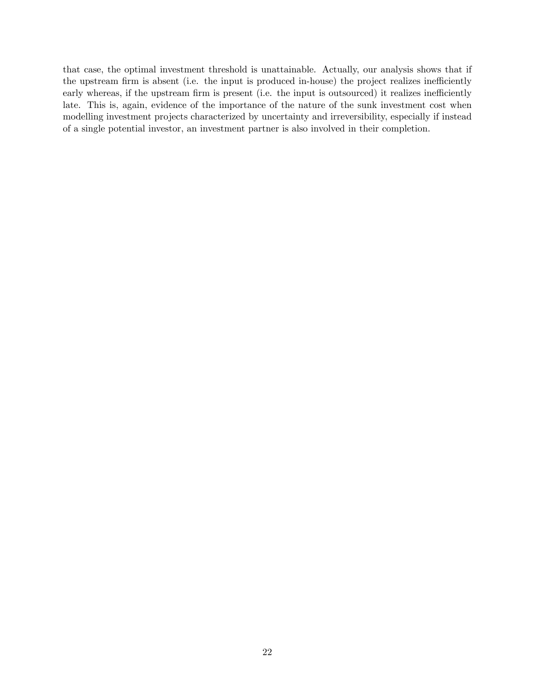that case, the optimal investment threshold is unattainable. Actually, our analysis shows that if the upstream firm is absent (i.e. the input is produced in-house) the project realizes inefficiently early whereas, if the upstream firm is present (i.e. the input is outsourced) it realizes inefficiently late. This is, again, evidence of the importance of the nature of the sunk investment cost when modelling investment projects characterized by uncertainty and irreversibility, especially if instead of a single potential investor, an investment partner is also involved in their completion.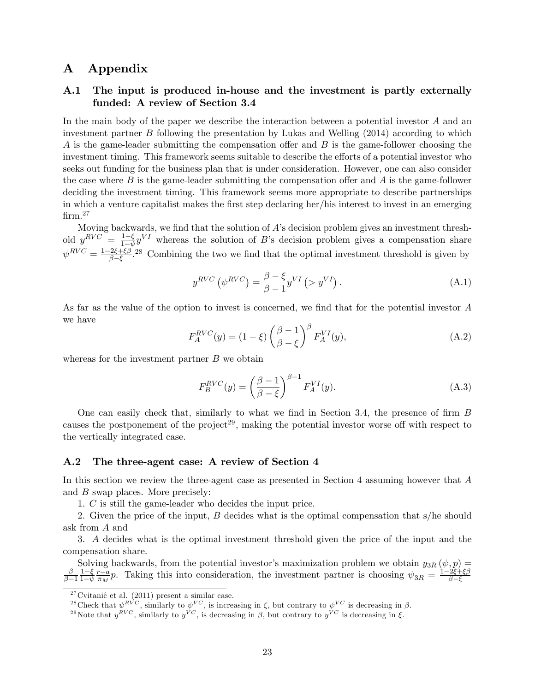### A Appendix

### A.1 The input is produced in-house and the investment is partly externally funded: A review of Section 3.4

In the main body of the paper we describe the interaction between a potential investor A and an investment partner B following the presentation by Lukas and Welling (2014) according to which A is the game-leader submitting the compensation offer and  $B$  is the game-follower choosing the investment timing. This framework seems suitable to describe the efforts of a potential investor who seeks out funding for the business plan that is under consideration. However, one can also consider the case where  $B$  is the game-leader submitting the compensation offer and  $A$  is the game-follower deciding the investment timing. This framework seems more appropriate to describe partnerships in which a venture capitalist makes the first step declaring her/his interest to invest in an emerging  $firm.<sup>27</sup>$ 

Moving backwards, we find that the solution of  $A$ 's decision problem gives an investment threshold  $y^{RVC} = \frac{1-\xi}{1-\psi}y^{VI}$  whereas the solution of B's decision problem gives a compensation share  $1-\psi$  $\psi^{RVC} = \frac{1-2\xi+\xi\beta}{\beta-\xi}$  $\frac{2\xi+\xi\beta}{\beta-\xi}$ . 28 Combining the two we find that the optimal investment threshold is given by

$$
y^{RVC} \left( \psi^{RVC} \right) = \frac{\beta - \xi}{\beta - 1} y^{VI} \left( > y^{VI} \right). \tag{A.1}
$$

As far as the value of the option to invest is concerned, we find that for the potential investor  $A$ we have

$$
F_A^{RVC}(y) = (1 - \xi) \left(\frac{\beta - 1}{\beta - \xi}\right)^{\beta} F_A^{VI}(y), \tag{A.2}
$$

whereas for the investment partner  $B$  we obtain

$$
F_B^{RVC}(y) = \left(\frac{\beta - 1}{\beta - \xi}\right)^{\beta - 1} F_A^{VI}(y). \tag{A.3}
$$

One can easily check that, similarly to what we find in Section 3.4, the presence of firm  $B$ causes the postponement of the project<sup>29</sup>, making the potential investor worse off with respect to the vertically integrated case.

#### A.2 The three-agent case: A review of Section 4

In this section we review the three-agent case as presented in Section 4 assuming however that A and B swap places. More precisely:

1. C is still the game-leader who decides the input price.

2. Given the price of the input, B decides what is the optimal compensation that s/he should ask from A and

3. A decides what is the optimal investment threshold given the price of the input and the compensation share.

Solving backwards, from the potential investor's maximization problem we obtain  $y_{3R}(\psi, p) =$ <br> $\beta \neq 1-\xi r-a_n$ . Taking this into consideration, the investment partner is choosing  $\psi = 1-2\xi+\xi\beta$  $_{\beta-1}$  $\frac{1-\xi}{1}$  $1-\psi$  $\frac{r-a}{\pi_M}p$ . Taking this into consideration, the investment partner is choosing  $\psi_{3R} = \frac{1-2\xi+\xi\beta}{\beta-\xi}$  $\beta-\xi$ 

 $2^7$ Cvitanić et al. (2011) present a similar case.

<sup>&</sup>lt;sup>28</sup>Check that  $\psi^{RVC}$ , similarly to  $\psi^{VC}$ , is increasing in  $\xi$ , but contrary to  $\psi^{VC}$  is decreasing in  $\beta$ .

<sup>&</sup>lt;sup>29</sup>Note that  $y^{RVC}$ , similarly to  $y^{VC}$ , is decreasing in  $\beta$ , but contrary to  $y^{VC}$  is decreasing in  $\xi$ .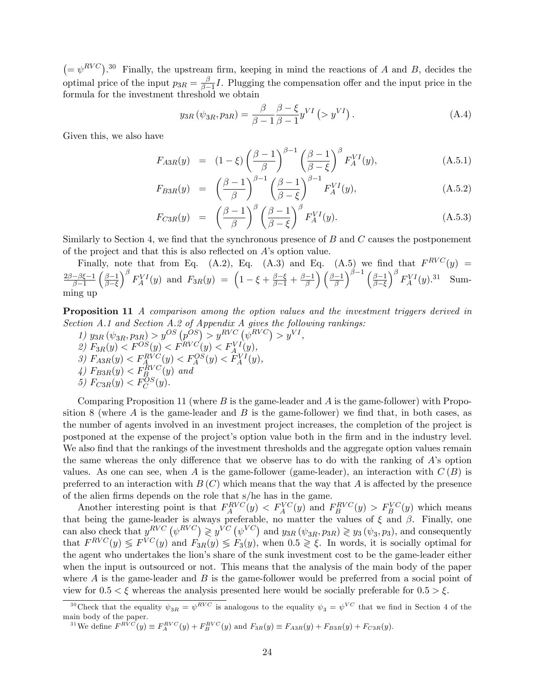$(=\psi^{RVC})$ .<sup>30</sup> Finally, the upstream firm, keeping in mind the reactions of A and B, decides the optimal price of the input  $p_{3R} = \frac{\beta}{\beta - 1}$  $\frac{\beta}{\beta-1}I$ . Plugging the compensation offer and the input price in the formula for the investment threshold we obtain

$$
y_{3R} \left( \psi_{3R}, p_{3R} \right) = \frac{\beta}{\beta - 1} \frac{\beta - \xi}{\beta - 1} y^{VI} \left( > y^{VI} \right). \tag{A.4}
$$

Given this, we also have

$$
F_{A3R}(y) = (1 - \xi) \left(\frac{\beta - 1}{\beta}\right)^{\beta - 1} \left(\frac{\beta - 1}{\beta - \xi}\right)^{\beta} F_A^{VI}(y), \tag{A.5.1}
$$

$$
F_{B3R}(y) = \left(\frac{\beta - 1}{\beta}\right)^{\beta - 1} \left(\frac{\beta - 1}{\beta - \xi}\right)^{\beta - 1} F_A^{VI}(y), \tag{A.5.2}
$$

$$
F_{C3R}(y) = \left(\frac{\beta - 1}{\beta}\right)^{\beta} \left(\frac{\beta - 1}{\beta - \xi}\right)^{\beta} F_A^{VI}(y). \tag{A.5.3}
$$

Similarly to Section 4, we find that the synchronous presence of  $B$  and  $C$  causes the postponement of the project and that this is also reflected on  $A$ 's option value.

Finally, note that from Eq. (A.2), Eq. (A.3) and Eq. (A.5) we find that  $F^{RVC}(y)$  =  $\frac{2\beta-\beta\xi-1}{2}$  $_{\beta-1}$  $\left(\frac{\beta-1}{\alpha}\right)$  $_{\beta-\xi}$  $\int^\beta F_A^{VI}(y)$  and  $F_{3R}(y) = \left(1-\xi+\frac{\beta-\xi}{\beta-1}+\frac{\beta-1}{\beta}\right)\left(\frac{\beta-1}{\beta}\right)$  $\int^{\beta-1} \left(\frac{\beta-1}{\beta-1}\right)$  $_{\beta-\xi}$  $\int^{\beta} F^{VI}_A(y).^{31}$  Summing up

Proposition 11 A comparison among the option values and the investment triggers derived in Section A.1 and Section A.2 of Appendix A gives the following rankings:

1)  $y_{3R} (\psi_{3R}, p_{3R}) > y^{OS} (p^{OS}) > y^{RVC} (\psi^{RVC}) > y^{VI},$ 2)  $F_{3R}(y) < F^{OS}(y) < F^{RVC}(y) < F^{VI}(y),$ 3)  $F_{A3R}(y) < F_A^{RVC}(y) < F_A^{OS}(y) < F_A^{VI}(y)$ ,  $\langle 4 \rangle$   $F_{B3R}(y) < F_{B_{\alpha}}^{RVC}(y)$  and 5)  $F_{C3R}(y) < F_C^{OS}(y)$ .

Comparing Proposition 11 (where B is the game-leader and A is the game-follower) with Proposition 8 (where  $\vec{A}$  is the game-leader and  $\vec{B}$  is the game-follower) we find that, in both cases, as the number of agents involved in an investment project increases, the completion of the project is postponed at the expense of the project's option value both in the firm and in the industry level. We also find that the rankings of the investment thresholds and the aggregate option values remain the same whereas the only difference that we observe has to do with the ranking of  $\hat{A}$ 's option values. As one can see, when A is the game-follower (game-leader), an interaction with  $C(B)$  is preferred to an interaction with  $B(C)$  which means that the way that A is affected by the presence of the alien firms depends on the role that s/he has in the game.

Another interesting point is that  $F_A^{RVC}(y) < F_A^{VC}(y)$  and  $F_B^{RVC}(y) > F_B^{VC}(y)$  which means that being the game-leader is always preferable, no matter the values of  $\xi$  and  $\beta$ . Finally, one can also check that  $y^{RVC}$   $(\psi^{RVC}) \geq y^{VC}$   $(\psi^{VC})$  and  $y_{3R}$   $(\psi_{3R}, p_{3R}) \geq y_3$   $(\psi_3, p_3)$ , and consequently that  $F^{RVC}(y) \leq F^{VC}(y)$  and  $F_{3R}(y) \leq F_3(y)$ , when  $0.5 \geq \xi$ . In words, it is socially optimal for the agent who undertakes the lionís share of the sunk investment cost to be the game-leader either when the input is outsourced or not. This means that the analysis of the main body of the paper where  $A$  is the game-leader and  $B$  is the game-follower would be preferred from a social point of view for  $0.5 < \xi$  whereas the analysis presented here would be socially preferable for  $0.5 > \xi$ .

<sup>&</sup>lt;sup>30</sup>Check that the equality  $\psi_{3R} = \psi^{RVC}$  is analogous to the equality  $\psi_3 = \psi^{VC}$  that we find in Section 4 of the main body of the paper.

<sup>&</sup>lt;sup>31</sup>We define  $F^{RVC}(y) \equiv F_A^{RVC}(y) + F_B^{RVC}(y)$  and  $F_{3R}(y) \equiv F_{A3R}(y) + F_{B3R}(y) + F_{C3R}(y)$ .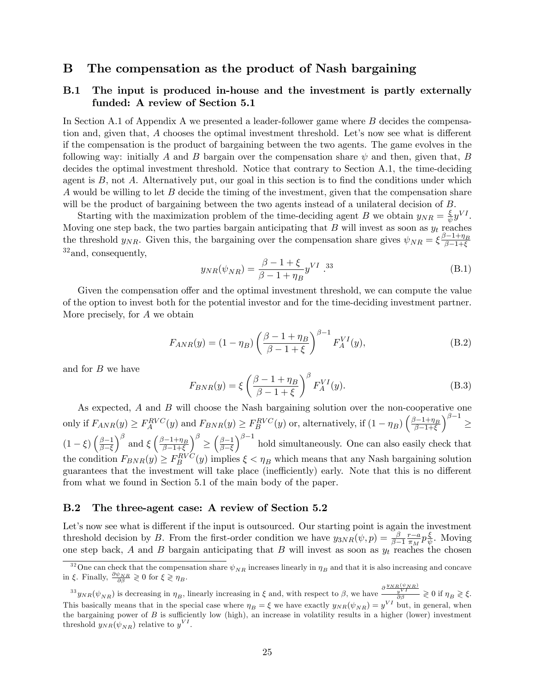### B The compensation as the product of Nash bargaining

### B.1 The input is produced in-house and the investment is partly externally funded: A review of Section 5.1

In Section A.1 of Appendix A we presented a leader-follower game where B decides the compensation and, given that,  $A$  chooses the optimal investment threshold. Let's now see what is different if the compensation is the product of bargaining between the two agents. The game evolves in the following way: initially A and B bargain over the compensation share  $\psi$  and then, given that, B decides the optimal investment threshold. Notice that contrary to Section A.1, the time-deciding agent is  $B$ , not  $A$ . Alternatively put, our goal in this section is to find the conditions under which A would be willing to let B decide the timing of the investment, given that the compensation share will be the product of bargaining between the two agents instead of a unilateral decision of B.

Starting with the maximization problem of the time-deciding agent B we obtain  $y_{NR} = \frac{\xi}{\psi}$  $rac{\xi}{\psi} y^{VI}.$ Moving one step back, the two parties bargain anticipating that  $B$  will invest as soon as  $y_t$  reaches the threshold  $y_{NR}$ . Given this, the bargaining over the compensation share gives  $\psi_{NR} = \xi \frac{\beta - 1 + \eta_B}{\beta - 1 + \xi}$  $\beta-1+\xi$ <sup>32</sup>and, consequently,

$$
y_{NR}(\psi_{NR}) = \frac{\beta - 1 + \xi}{\beta - 1 + \eta_B} y^{VI} .^{33}
$$
 (B.1)

Given the compensation offer and the optimal investment threshold, we can compute the value of the option to invest both for the potential investor and for the time-deciding investment partner. More precisely, for A we obtain

$$
F_{ANR}(y) = (1 - \eta_B) \left(\frac{\beta - 1 + \eta_B}{\beta - 1 + \xi}\right)^{\beta - 1} F_A^{VI}(y),
$$
 (B.2)

and for B we have

$$
F_{BNR}(y) = \xi \left(\frac{\beta - 1 + \eta_B}{\beta - 1 + \xi}\right)^{\beta} F_A^{VI}(y). \tag{B.3}
$$

As expected, A and B will choose the Nash bargaining solution over the non-cooperative one only if  $F_{ANR}(y) \ge F_A^{RVC}(y)$  and  $F_{BNR}(y) \ge F_B^{RVC}(y)$  or, alternatively, if  $(1 - \eta_B) \left( \frac{\beta - 1 + \eta_B}{\beta - 1 + \xi} \right)$  $\beta-1+\xi$  $\lambda^{\beta-1}$  $\leq$  $(1-\xi)\left(\frac{\beta-1}{\beta-\xi}\right)$  $_{\beta-\xi}$  $\int^{\beta}$  and  $\xi$   $\left( \frac{\beta - 1 + \eta_B}{\beta - 1 + \xi} \right)$  $\beta - 1 + \xi$  $\lambda^{\beta}$  $\leq$  $\left(\frac{\beta-1}{\alpha}\right)$  $_{\beta-\xi}$  $\int_{0}^{\beta-1}$  hold simultaneously. One can also easily check that the condition  $F_{BNR}(y) \ge F_B^{RVC}(y)$  implies  $\xi < \eta_B$  which means that any Nash bargaining solution guarantees that the investment will take place (inefficiently) early. Note that this is no different from what we found in Section 5.1 of the main body of the paper.

#### B.2 The three-agent case: A review of Section 5.2

Let's now see what is different if the input is outsourced. Our starting point is again the investment threshold decision by B. From the first-order condition we have  $y_{3NR}(\psi, p) = \frac{\beta}{\beta-1}$  $\frac{r-a}{\pi_M}p\frac{\xi}{\psi}$  $\frac{\xi}{\psi}$ . Moving one step back, A and B bargain anticipating that B will invest as soon as  $y_t$  reaches the chosen

<sup>&</sup>lt;sup>32</sup>One can check that the compensation share  $\psi_{NR}$  increases linearly in  $\eta_B$  and that it is also increasing and concave in  $\xi$ . Finally,  $\frac{\partial \psi_{NR}}{\partial \beta} \geq 0$  for  $\xi \geq \eta_B$ .

 $^{33}y_{NR}(\psi_{NR})$  is decreasing in  $\eta_B$ , linearly increasing in  $\xi$  and, with respect to  $\beta$ , we have  $\frac{\partial \frac{y_{NR}(\psi_{NR})}{y_{j}}}{\partial \beta} \geq 0$  if  $\eta_B \geq \xi$ . This basically means that in the special case where  $\eta_B = \xi$  we have exactly  $y_{NR}(\psi_{NR}) = y^{VI}$  but, in general, when the bargaining power of  $B$  is sufficiently low (high), an increase in volatility results in a higher (lower) investment threshold  $y_{NR}(\psi_{NR})$  relative to  $y^{VI}$ .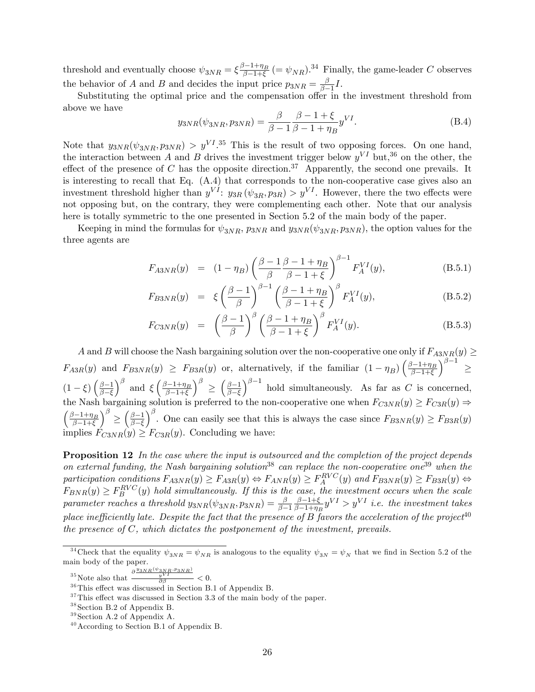threshold and eventually choose  $\psi_{3NR} = \xi \frac{\beta - 1 + \eta_B}{\beta - 1 + \xi}$  $\frac{3-1+\eta_B}{\beta-1+\xi}$  (=  $\psi_{NR}$ ).<sup>34</sup> Finally, the game-leader C observes the behavior of A and B and decides the input price  $p_{3NR} = \frac{\beta}{\beta - 1}$  $\frac{\beta}{\beta-1}I$ .

Substituting the optimal price and the compensation offer in the investment threshold from above we have

$$
y_{3NR}(\psi_{3NR}, p_{3NR}) = \frac{\beta}{\beta - 1} \frac{\beta - 1 + \xi}{\beta - 1 + \eta_B} y^{VI}.
$$
 (B.4)

Note that  $y_{3NR}(\psi_{3NR}, p_{3NR}) > y^{VI}$ .<sup>35</sup> This is the result of two opposing forces. On one hand, the interaction between A and B drives the investment trigger below  $y^{VI}$  but,<sup>36</sup> on the other, the effect of the presence of C has the opposite direction.<sup>37</sup> Apparently, the second one prevails. It is interesting to recall that Eq. (A.4) that corresponds to the non-cooperative case gives also an investment threshold higher than  $y^{VI}$ :  $y_{3R} (\psi_{3R}, p_{3R}) > y^{VI}$ . However, there the two effects were not opposing but, on the contrary, they were complementing each other. Note that our analysis here is totally symmetric to the one presented in Section 5.2 of the main body of the paper.

Keeping in mind the formulas for  $\psi_{3NR}$ ,  $p_{3NR}$  and  $y_{3NR}(\psi_{3NR}, p_{3NR})$ , the option values for the three agents are

$$
F_{ASNR}(y) = (1 - \eta_B) \left( \frac{\beta - 1}{\beta} \frac{\beta - 1 + \eta_B}{\beta - 1 + \xi} \right)^{\beta - 1} F_A^{VI}(y), \tag{B.5.1}
$$

$$
F_{BSNR}(y) = \xi \left(\frac{\beta - 1}{\beta}\right)^{\beta - 1} \left(\frac{\beta - 1 + \eta_B}{\beta - 1 + \xi}\right)^{\beta} F_A^{VI}(y), \tag{B.5.2}
$$

$$
F_{C3NR}(y) = \left(\frac{\beta - 1}{\beta}\right)^{\beta} \left(\frac{\beta - 1 + \eta_B}{\beta - 1 + \xi}\right)^{\beta} F_A^{VI}(y). \tag{B.5.3}
$$

A and B will choose the Nash bargaining solution over the non-cooperative one only if  $F_{ASNR}(y) \geq$  $F_{A3R}(y)$  and  $F_{B3NR}(y) \geq F_{B3R}(y)$  or, alternatively, if the familiar  $(1 - \eta_B) \left( \frac{\beta - 1 + \eta_B}{\beta - 1 + \xi} \right)$  $\beta-1+\xi$  $\lambda^{\beta-1}$  $\leq$  $(1-\xi)\left(\frac{\beta-1}{\beta-\xi}\right)$  $_{\beta-\xi}$  $\int^{\beta}$  and  $\xi$   $\left( \frac{\beta - 1 + \eta_B}{\beta - 1 + \xi} \right)$  $_{\beta-1+\xi}$  $\setminus^{\beta}$  $\leq$  $\left(\frac{\beta-1}{\alpha}\right)$  $\beta-\xi$  $\int_{0}^{\beta-1}$  hold simultaneously. As far as C is concerned, the Nash bargaining solution is preferred to the non-cooperative one when  $F_{C3NR}(y) \geq F_{C3R}(y) \Rightarrow$  $\int \frac{\beta-1+\eta_B}{\eta}$  $\beta-1+\xi$  $\lambda^{\beta}$  $\leq$  $\left(\frac{\beta-1}{\alpha}\right)$  $\beta-\xi$  $\int_{0}^{\beta}$ . One can easily see that this is always the case since  $F_{B3NR}(y) \ge F_{B3R}(y)$ implies  $F_{C3NR}(y) \geq F_{C3R}(y)$ . Concluding we have:

**Proposition 12** In the case where the input is outsourced and the completion of the project depends on external funding, the Nash bargaining solution<sup>38</sup> can replace the non-cooperative one<sup>39</sup> when the participation conditions  $F_{ASNR}(y) \geq F_{ASR}(y) \Leftrightarrow F_{ANR}(y) \geq F_A^{RVC}(y)$  and  $F_{BSNR}(y) \geq F_{BSR}(y) \Leftrightarrow$  $F_{BNR}(y) \geq F_B^{RVC}(y)$  hold simultaneously. If this is the case, the investment occurs when the scale  $parameter \ reaches \ a \ threshold \ y_{3NR}(\psi_{3NR}, p_{3NR}) = \frac{\beta}{\beta-1}$  $\frac{\beta - 1 + \xi}{\xi}$  $\frac{\beta-1+\xi}{\beta-1+\eta_B}y^{VI} > y^{VI}$  i.e. the investment takes place inefficiently late. Despite the fact that the presence of B favors the acceleration of the project<sup>40</sup> the presence of  $C$ , which dictates the postponement of the investment, prevails.

<sup>35</sup> Note also that  $\frac{\partial \frac{y_{3NR}(\psi_{3NR},p_{3NR})}{y} }{\partial \beta} < 0.$ 

<sup>&</sup>lt;sup>34</sup>Check that the equality  $\psi_{3NR} = \psi_{NR}$  is analogous to the equality  $\psi_{3N} = \psi_N$  that we find in Section 5.2 of the main body of the paper.

 $36$ This effect was discussed in Section B.1 of Appendix B.

 $37$ This effect was discussed in Section 3.3 of the main body of the paper.

 $38$  Section B.2 of Appendix B.

 $39$  Section A.2 of Appendix A.

 $40$  According to Section B.1 of Appendix B.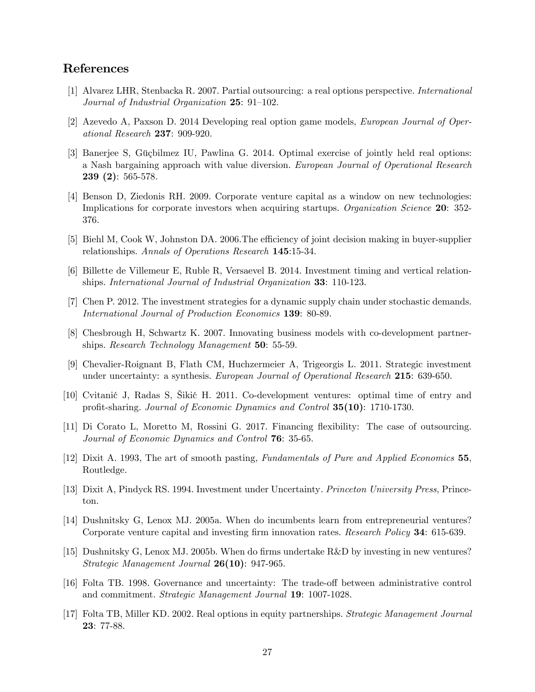## References

- [1] Alvarez LHR, Stenbacka R. 2007. Partial outsourcing: a real options perspective. International Journal of Industrial Organization  $25: 91-102$ .
- [2] Azevedo A, Paxson D. 2014 Developing real option game models, European Journal of Operational Research 237: 909-920.
- [3] Banerjee S, Güçbilmez IU, Pawlina G. 2014. Optimal exercise of jointly held real options: a Nash bargaining approach with value diversion. European Journal of Operational Research 239 (2): 565-578.
- [4] Benson D, Ziedonis RH. 2009. Corporate venture capital as a window on new technologies: Implications for corporate investors when acquiring startups. Organization Science 20: 352-376.
- [5] Biehl M, Cook W, Johnston DA. 2006. The efficiency of joint decision making in buyer-supplier relationships. Annals of Operations Research 145:15-34.
- [6] Billette de Villemeur E, Ruble R, Versaevel B. 2014. Investment timing and vertical relationships. International Journal of Industrial Organization 33: 110-123.
- [7] Chen P. 2012. The investment strategies for a dynamic supply chain under stochastic demands. International Journal of Production Economics 139: 80-89.
- [8] Chesbrough H, Schwartz K. 2007. Innovating business models with co-development partnerships. Research Technology Management 50: 55-59.
- [9] Chevalier-Roignant B, Flath CM, Huchzermeier A, Trigeorgis L. 2011. Strategic investment under uncertainty: a synthesis. European Journal of Operational Research 215: 639-650.
- [10] Cvitanić J, Radas S, Šikić H. 2011. Co-development ventures: optimal time of entry and profit-sharing. Journal of Economic Dynamics and Control 35(10): 1710-1730.
- [11] Di Corato L, Moretto M, Rossini G. 2017. Financing áexibility: The case of outsourcing. Journal of Economic Dynamics and Control 76: 35-65.
- [12] Dixit A. 1993, The art of smooth pasting, Fundamentals of Pure and Applied Economics 55, Routledge.
- [13] Dixit A, Pindyck RS. 1994. Investment under Uncertainty. Princeton University Press, Princeton.
- [14] Dushnitsky G, Lenox MJ. 2005a. When do incumbents learn from entrepreneurial ventures? Corporate venture capital and investing firm innovation rates. Research Policy 34: 615-639.
- [15] Dushnitsky G, Lenox MJ. 2005b. When do firms undertake R&D by investing in new ventures? Strategic Management Journal 26(10): 947-965.
- [16] Folta TB. 1998. Governance and uncertainty: The trade-off between administrative control and commitment. Strategic Management Journal 19: 1007-1028.
- [17] Folta TB, Miller KD. 2002. Real options in equity partnerships. Strategic Management Journal 23: 77-88.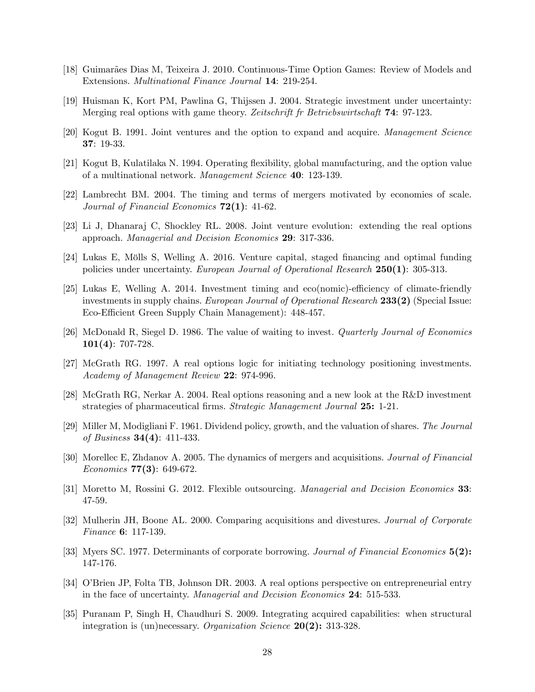- [18] Guimarães Dias M, Teixeira J. 2010. Continuous-Time Option Games: Review of Models and Extensions. Multinational Finance Journal 14: 219-254.
- [19] Huisman K, Kort PM, Pawlina G, Thijssen J. 2004. Strategic investment under uncertainty: Merging real options with game theory. Zeitschrift fr Betriebswirtschaft 74: 97-123.
- [20] Kogut B. 1991. Joint ventures and the option to expand and acquire. Management Science 37: 19-33.
- [21] Kogut B, Kulatilaka N. 1994. Operating áexibility, global manufacturing, and the option value of a multinational network. Management Science 40: 123-139.
- [22] Lambrecht BM. 2004. The timing and terms of mergers motivated by economies of scale. Journal of Financial Economics  $72(1)$ : 41-62.
- [23] Li J, Dhanaraj C, Shockley RL. 2008. Joint venture evolution: extending the real options approach. Managerial and Decision Economics 29: 317-336.
- [24] Lukas E, Mölls S, Welling A. 2016. Venture capital, staged financing and optimal funding policies under uncertainty. European Journal of Operational Research 250(1): 305-313.
- [25] Lukas E, Welling A. 2014. Investment timing and eco(nomic)-efficiency of climate-friendly investments in supply chains. European Journal of Operational Research 233(2) (Special Issue: Eco-Efficient Green Supply Chain Management): 448-457.
- [26] McDonald R, Siegel D. 1986. The value of waiting to invest. Quarterly Journal of Economics  $101(4): 707-728.$
- [27] McGrath RG. 1997. A real options logic for initiating technology positioning investments. Academy of Management Review 22: 974-996.
- [28] McGrath RG, Nerkar A. 2004. Real options reasoning and a new look at the R&D investment strategies of pharmaceutical firms. Strategic Management Journal 25: 1-21.
- [29] Miller M, Modigliani F. 1961. Dividend policy, growth, and the valuation of shares. The Journal of Business 34(4): 411-433.
- [30] Morellec E, Zhdanov A. 2005. The dynamics of mergers and acquisitions. Journal of Financial *Economics* **77(3)**: 649-672.
- [31] Moretto M, Rossini G. 2012. Flexible outsourcing. Managerial and Decision Economics 33: 47-59.
- [32] Mulherin JH, Boone AL. 2000. Comparing acquisitions and divestures. Journal of Corporate Finance 6: 117-139.
- [33] Myers SC. 1977. Determinants of corporate borrowing. Journal of Financial Economics 5(2): 147-176.
- [34] OíBrien JP, Folta TB, Johnson DR. 2003. A real options perspective on entrepreneurial entry in the face of uncertainty. Managerial and Decision Economics 24: 515-533.
- [35] Puranam P, Singh H, Chaudhuri S. 2009. Integrating acquired capabilities: when structural integration is (un)necessary. Organization Science 20(2): 313-328.